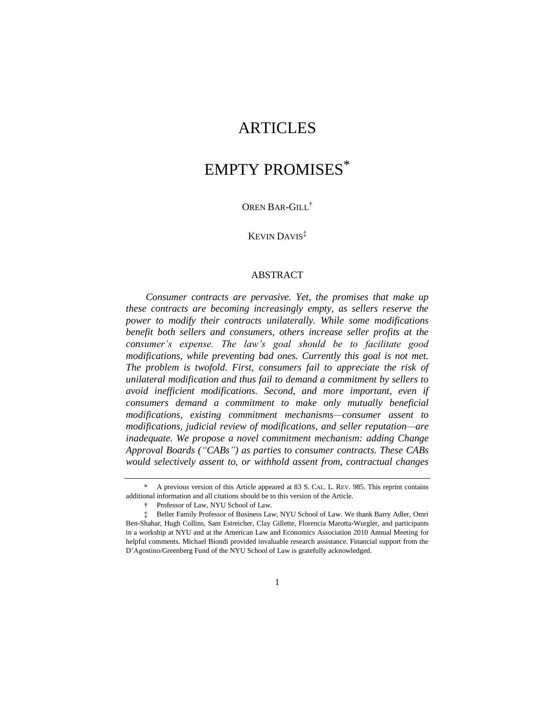## ARTICLES

# EMPTY PROMISES\*

## OREN BAR-GILL†

## KEVIN DAVIS‡

## ABSTRACT

*Consumer contracts are pervasive. Yet, the promises that make up these contracts are becoming increasingly empty, as sellers reserve the power to modify their contracts unilaterally. While some modifications benefit both sellers and consumers, others increase seller profits at the consumer's expense. The law's goal should be to facilitate good modifications, while preventing bad ones. Currently this goal is not met. The problem is twofold. First, consumers fail to appreciate the risk of unilateral modification and thus fail to demand a commitment by sellers to avoid inefficient modifications. Second, and more important, even if consumers demand a commitment to make only mutually beneficial modifications, existing commitment mechanisms—consumer assent to modifications, judicial review of modifications, and seller reputation—are inadequate. We propose a novel commitment mechanism: adding Change Approval Boards ("CABs") as parties to consumer contracts. These CABs would selectively assent to, or withhold assent from, contractual changes* 

<sup>\*</sup> A previous version of this Article appeared at 83 S. CAL. L. REV. 985. This reprint contains additional information and all citations should be to this version of the Article.

<sup>†</sup> Professor of Law, NYU School of Law.

<sup>‡</sup> Beller Family Professor of Business Law, NYU School of Law. We thank Barry Adler, Omri Ben-Shahar, Hugh Collins, Sam Estreicher, Clay Gillette, Florencia Marotta-Wurgler, and participants in a workship at NYU and at the American Law and Economics Association 2010 Annual Meeting for helpful comments. Michael Biondi provided invaluable research assistance. Financial support from the D'Agostino/Greenberg Fund of the NYU School of Law is gratefully acknowledged.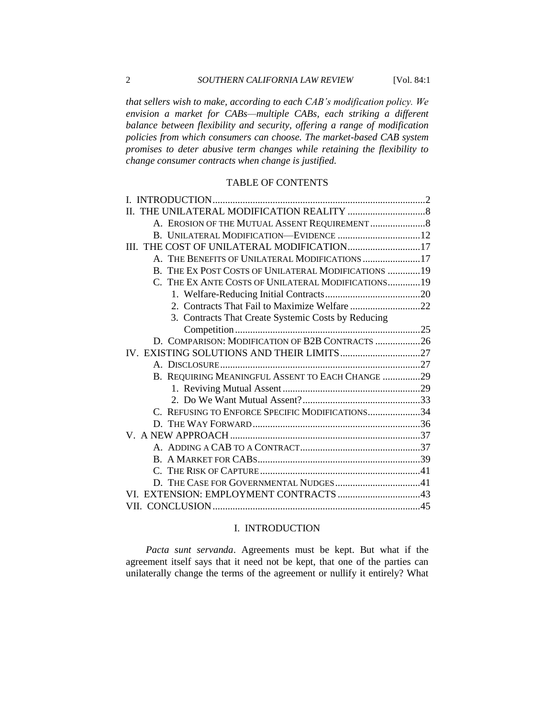*that sellers wish to make, according to each CAB's modification policy. We envision a market for CABs—multiple CABs, each striking a different balance between flexibility and security, offering a range of modification policies from which consumers can choose. The market-based CAB system promises to deter abusive term changes while retaining the flexibility to change consumer contracts when change is justified.*

## TABLE OF CONTENTS

| III. THE COST OF UNILATERAL MODIFICATION 17          |  |
|------------------------------------------------------|--|
| A. THE BENEFITS OF UNILATERAL MODIFICATIONS  17      |  |
| B. THE EX POST COSTS OF UNILATERAL MODIFICATIONS  19 |  |
| C. THE EX ANTE COSTS OF UNILATERAL MODIFICATIONS19   |  |
|                                                      |  |
|                                                      |  |
| 3. Contracts That Create Systemic Costs by Reducing  |  |
|                                                      |  |
| D. COMPARISON: MODIFICATION OF B2B CONTRACTS 26      |  |
|                                                      |  |
|                                                      |  |
| B. REQUIRING MEANINGFUL ASSENT TO EACH CHANGE 29     |  |
|                                                      |  |
|                                                      |  |
| C. REFUSING TO ENFORCE SPECIFIC MODIFICATIONS34      |  |
|                                                      |  |
|                                                      |  |
|                                                      |  |
|                                                      |  |
|                                                      |  |
|                                                      |  |
|                                                      |  |
|                                                      |  |

## <span id="page-1-0"></span>I. INTRODUCTION

*Pacta sunt servanda*. Agreements must be kept. But what if the agreement itself says that it need not be kept, that one of the parties can unilaterally change the terms of the agreement or nullify it entirely? What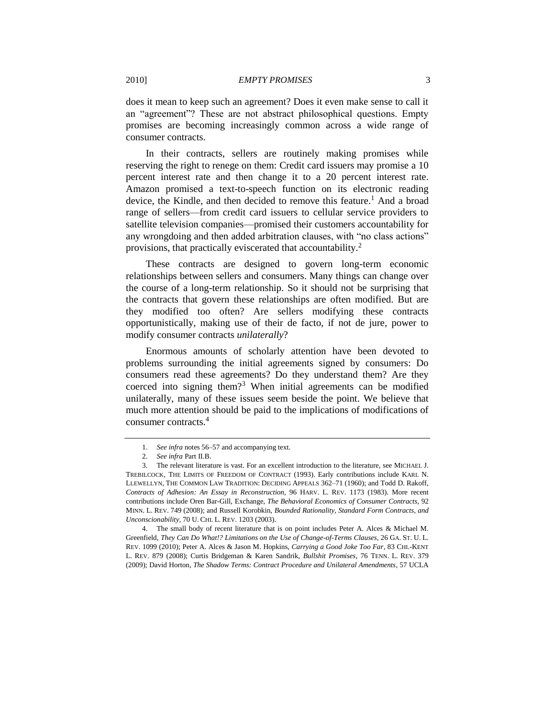does it mean to keep such an agreement? Does it even make sense to call it an "agreement"? These are not abstract philosophical questions. Empty promises are becoming increasingly common across a wide range of consumer contracts.

In their contracts, sellers are routinely making promises while reserving the right to renege on them: Credit card issuers may promise a 10 percent interest rate and then change it to a 20 percent interest rate. Amazon promised a text-to-speech function on its electronic reading device, the Kindle, and then decided to remove this feature.<sup>1</sup> And a broad range of sellers—from credit card issuers to cellular service providers to satellite television companies—promised their customers accountability for any wrongdoing and then added arbitration clauses, with "no class actions" provisions, that practically eviscerated that accountability.<sup>2</sup>

These contracts are designed to govern long-term economic relationships between sellers and consumers. Many things can change over the course of a long-term relationship. So it should not be surprising that the contracts that govern these relationships are often modified. But are they modified too often? Are sellers modifying these contracts opportunistically, making use of their de facto, if not de jure, power to modify consumer contracts *unilaterally*?

Enormous amounts of scholarly attention have been devoted to problems surrounding the initial agreements signed by consumers: Do consumers read these agreements? Do they understand them? Are they coerced into signing them?<sup>3</sup> When initial agreements can be modified unilaterally, many of these issues seem beside the point. We believe that much more attention should be paid to the implications of modifications of consumer contracts <sup>4</sup>

4. The small body of recent literature that is on point includes Peter A. Alces & Michael M. Greenfield, *They Can Do What!? Limitations on the Use of Change-of-Terms Clauses*, 26 GA. ST. U. L. REV. 1099 (2010); Peter A. Alces & Jason M. Hopkins, *Carrying a Good Joke Too Far*, 83 CHI.-K[ENT](http://web2.westlaw.com/result/result.aspx?rltdb=CLID_DB8736042421116&effdate=1%2f1%2f0001+12%3a00%3a00+AM&db=JLR&srch=TRUE&service=Search&sskey=CLID_SSSA4436042421116&ss=CNT&fmqv=c&rlti=1&sv=Split&n=1&method=TNC&origin=Search&query=AU%28ALCES+%26+HOPKINS%29&mt=208&eq=Welcome%2f208&sri=328&rlt=CLID_QRYRLT289543421116&vr=2.0&rp=%2fWelcome%2f208%2fdefault.wl&cnt=DOC&cfid=1&scxt=WL&rs=WLW9.05&fn=_top)  L. REV. [879](http://web2.westlaw.com/result/result.aspx?rltdb=CLID_DB8736042421116&effdate=1%2f1%2f0001+12%3a00%3a00+AM&db=JLR&srch=TRUE&service=Search&sskey=CLID_SSSA4436042421116&ss=CNT&fmqv=c&rlti=1&sv=Split&n=1&method=TNC&origin=Search&query=AU%28ALCES+%26+HOPKINS%29&mt=208&eq=Welcome%2f208&sri=328&rlt=CLID_QRYRLT289543421116&vr=2.0&rp=%2fWelcome%2f208%2fdefault.wl&cnt=DOC&cfid=1&scxt=WL&rs=WLW9.05&fn=_top) (2008); Curtis Bridgeman & Karen Sandrik, *Bullshit Promises*, 76 TENN. L. REV. 379 (2009); David Horton, *The Shadow Terms: Contract Procedure and Unilateral Amendments*, 57 UCLA

<span id="page-2-1"></span><span id="page-2-0"></span><sup>1.</sup> *See infra* note[s 56](#page-15-1)[–57](#page-15-2) and accompanying text.

<sup>2.</sup> *See infra* Part II.B.

<sup>3.</sup> The relevant literature is vast. For an excellent introduction to the literature, see MICHAEL J. TREBILCOCK, THE LIMITS OF FREEDOM OF CONTRACT (1993). Early contributions include KARL N. LLEWELLYN, THE COMMON LAW TRADITION: DECIDING APPEALS 362–71 (1960); and Todd D. Rakoff, *Contracts of Adhesion: An Essay in Reconstruction*, 96 HARV. L. REV. 1173 (1983). More recent contributions include Oren Bar-Gill, Exchange, *The Behavioral Economics of Consumer Contracts*, 92 MINN. L. REV. 749 (2008); and Russell Korobkin, *Bounded Rationality, Standard Form Contracts, and Unconscionability*, 70 U. CHI. L. REV. 1203 (2003).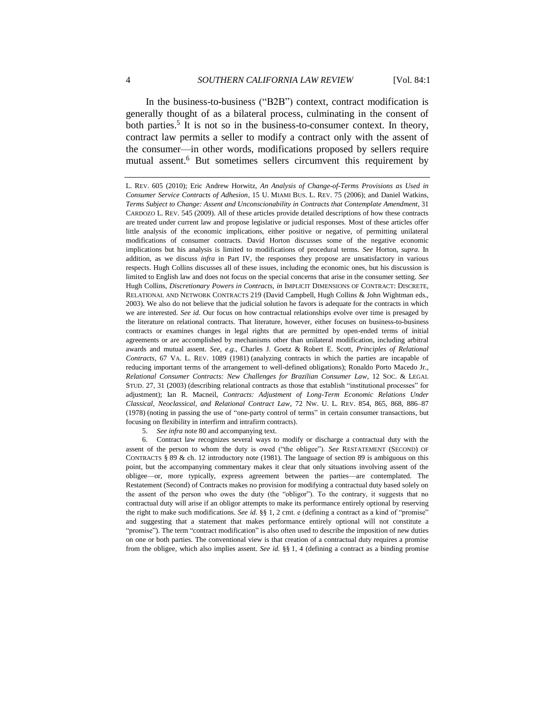In the business-to-business ("B2B") context, contract modification is generally thought of as a bilateral process, culminating in the consent of both parties.<sup>5</sup> It is not so in the business-to-consumer context. In theory, contract law permits a seller to modify a contract only with the assent of the consumer—in other words, modifications proposed by sellers require mutual assent.<sup>6</sup> But sometimes sellers circumvent this requirement by

5. *See infra* not[e 80](#page-26-2) and accompanying text.

6. Contract law recognizes several ways to modify or discharge a contractual duty with the assent of the person to whom the duty is owed ("the obligee"). See RESTATEMENT (SECOND) OF CONTRACTS § 89 & ch. 12 introductory note (1981). The language of section 89 is ambiguous on this point, but the accompanying commentary makes it clear that only situations involving assent of the obligee—or, more typically, express agreement between the parties—are contemplated. The Restatement (Second) of Contracts makes no provision for modifying a contractual duty based solely on the assent of the person who owes the duty (the "obligor"). To the contrary, it suggests that no contractual duty will arise if an obligor attempts to make its performance entirely optional by reserving the right to make such modifications. *See id.* §§ 1, 2 cmt. e (defining a contract as a kind of "promise" and suggesting that a statement that makes performance entirely optional will not constitute a "promise"). The term "contract modification" is also often used to describe the imposition of new duties on one or both parties. The conventional view is that creation of a contractual duty requires a promise from the obligee, which also implies assent. *See id.* §§ 1, 4 (defining a contract as a binding promise

<span id="page-3-0"></span>L. REV. 605 (2010); Eric Andrew Horwitz, *An Analysis of Change-of-Terms Provisions as Used in Consumer Service Contracts of Adhesion*, 15 U. MIAMI BUS. L. REV. 75 (2006); and Daniel Watkins, *[Terms Subject to Change: Assent and Unconscionability in Contracts that Contemplate Amendment](http://hq.ssrn.com/Journals/RedirectClick.cfm?url=http://papers.ssrn.com/sol3/papers.cfm?abstract_id=1421389&partid=238890&did=49847&eid=68340131)*, 31 CARDOZO L. REV. 545 (2009). All of these articles provide detailed descriptions of how these contracts are treated under current law and propose legislative or judicial responses. Most of these articles offer little analysis of the economic implications, either positive or negative, of permitting unilateral modifications of consumer contracts. David Horton discusses some of the negative economic implications but his analysis is limited to modifications of procedural terms. *See* Horton, *supra*. In addition, as we discuss *infra* in Part IV, the responses they propose are unsatisfactory in various respects. Hugh Collins discusses all of these issues, including the economic ones, but his discussion is limited to English law and does not focus on the special concerns that arise in the consumer setting. *See* Hugh Collins, *Discretionary Powers in Contracts*, *in* IMPLICIT DIMENSIONS OF CONTRACT: DISCRETE, RELATIONAL AND NETWORK CONTRACTS 219 (David Campbell, Hugh Collins & John Wightman eds., 2003). We also do not believe that the judicial solution he favors is adequate for the contracts in which we are interested. *See id.* Our focus on how contractual relationships evolve over time is presaged by the literature on relational contracts. That literature, however, either focuses on business-to-business contracts or examines changes in legal rights that are permitted by open-ended terms of initial agreements or are accomplished by mechanisms other than unilateral modification, including arbitral awards and mutual assent. *See, e.g.*, Charles J. Goetz & Robert E. Scott, *Principles of Relational Contracts*, 67 VA. L. REV. 1089 (1981) (analyzing contracts in which the parties are incapable of reducing important terms of the arrangement to well-defined obligations); Ronaldo Porto Macedo Jr., *Relational Consumer Contracts: New Challenges for Brazilian Consumer Law*, 12 SOC. & LEGAL STUD. 27, 31 (2003) (describing relational contracts as those that establish "institutional processes" for adjustment); Ian R. Macneil, *Contracts: Adjustment of Long-Term Economic Relations Under Classical, Neoclassical, and Relational Contract Law*, 72 NW. U. L. REV. 854, 865, 868, 886–87 (1978) (noting in passing the use of "one-party control of terms" in certain consumer transactions, but focusing on flexibility in interfirm and intrafirm contracts).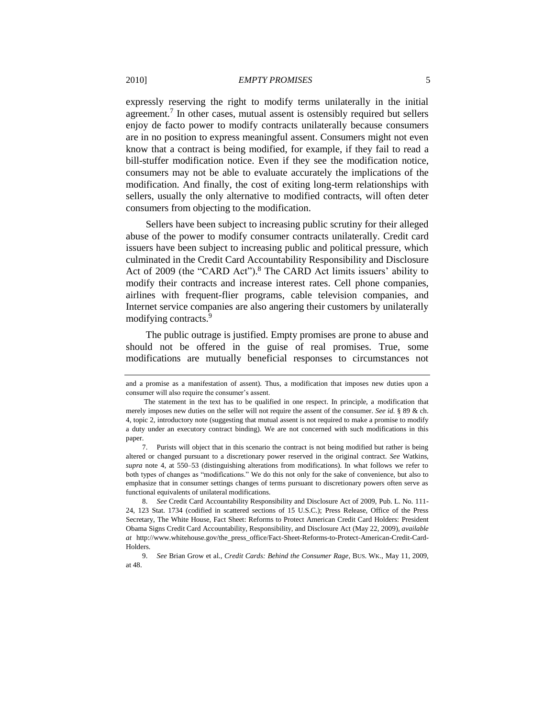expressly reserving the right to modify terms unilaterally in the initial agreement.<sup>7</sup> In other cases, mutual assent is ostensibly required but sellers enjoy de facto power to modify contracts unilaterally because consumers are in no position to express meaningful assent. Consumers might not even know that a contract is being modified, for example, if they fail to read a bill-stuffer modification notice. Even if they see the modification notice, consumers may not be able to evaluate accurately the implications of the modification. And finally, the cost of exiting long-term relationships with sellers, usually the only alternative to modified contracts, will often deter consumers from objecting to the modification.

<span id="page-4-0"></span>Sellers have been subject to increasing public scrutiny for their alleged abuse of the power to modify consumer contracts unilaterally. Credit card issuers have been subject to increasing public and political pressure, which culminated in the Credit Card Accountability Responsibility and Disclosure Act of 2009 (the "CARD Act").<sup>8</sup> The CARD Act limits issuers' ability to modify their contracts and increase interest rates. Cell phone companies, airlines with frequent-flier programs, cable television companies, and Internet service companies are also angering their customers by unilaterally modifying contracts.<sup>9</sup>

The public outrage is justified. Empty promises are prone to abuse and should not be offered in the guise of real promises. True, some modifications are mutually beneficial responses to circumstances not

and a promise as a manifestation of assent). Thus, a modification that imposes new duties upon a consumer will also require the consumer's assent.

The statement in the text has to be qualified in one respect. In principle, a modification that merely imposes new duties on the seller will not require the assent of the consumer. *See id.* § 89 & ch. 4, topic 2, introductory note (suggesting that mutual assent is not required to make a promise to modify a duty under an executory contract binding). We are not concerned with such modifications in this paper.

<sup>7.</sup> Purists will object that in this scenario the contract is not being modified but rather is being altered or changed pursuant to a discretionary power reserved in the original contract. *See* Watkins, *supra* note [4,](#page-2-0) at 550–53 (distinguishing alterations from modifications). In what follows we refer to both types of changes as "modifications." We do this not only for the sake of convenience, but also to emphasize that in consumer settings changes of terms pursuant to discretionary powers often serve as functional equivalents of unilateral modifications.

<sup>8.</sup> *See* Credit Card Accountability Responsibility and Disclosure Act of 2009, Pub. L. No. 111- 24, 123 Stat. 1734 (codified in scattered sections of 15 U.S.C.); Press Release, Office of the Press Secretary, The White House, Fact Sheet: Reforms to Protect American Credit Card Holders: President Obama Signs Credit Card Accountability, Responsibility, and Disclosure Act (May 22, 2009), *available at* http://www.whitehouse.gov/the\_press\_office/Fact-Sheet-Reforms-to-Protect-American-Credit-Card-Holders.

<sup>9.</sup> *See* Brian Grow et al., *Credit Cards: Behind the Consumer Rage*, BUS. WK., May 11, 2009, at 48.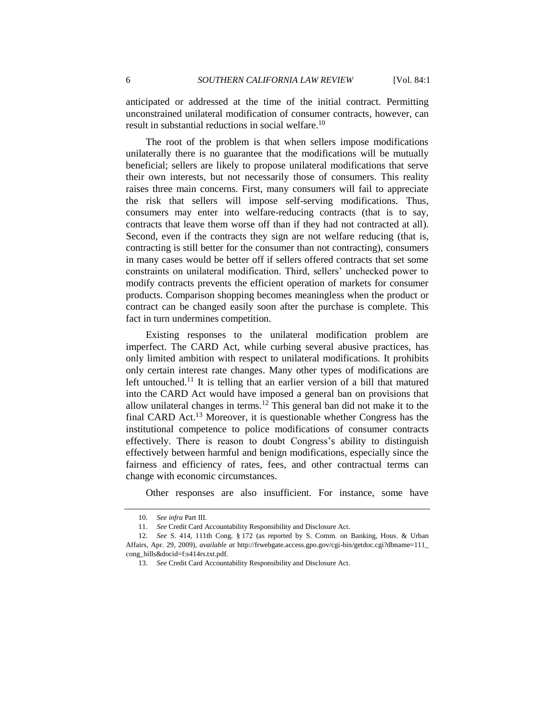anticipated or addressed at the time of the initial contract. Permitting unconstrained unilateral modification of consumer contracts, however, can result in substantial reductions in social welfare.<sup>10</sup>

The root of the problem is that when sellers impose modifications unilaterally there is no guarantee that the modifications will be mutually beneficial; sellers are likely to propose unilateral modifications that serve their own interests, but not necessarily those of consumers. This reality raises three main concerns. First, many consumers will fail to appreciate the risk that sellers will impose self-serving modifications. Thus, consumers may enter into welfare-reducing contracts (that is to say, contracts that leave them worse off than if they had not contracted at all). Second, even if the contracts they sign are not welfare reducing (that is, contracting is still better for the consumer than not contracting), consumers in many cases would be better off if sellers offered contracts that set some constraints on unilateral modification. Third, sellers' unchecked power to modify contracts prevents the efficient operation of markets for consumer products. Comparison shopping becomes meaningless when the product or contract can be changed easily soon after the purchase is complete. This fact in turn undermines competition.

Existing responses to the unilateral modification problem are imperfect. The CARD Act, while curbing several abusive practices, has only limited ambition with respect to unilateral modifications. It prohibits only certain interest rate changes. Many other types of modifications are left untouched.<sup>11</sup> It is telling that an earlier version of a bill that matured into the CARD Act would have imposed a general ban on provisions that allow unilateral changes in terms.<sup>12</sup> This general ban did not make it to the final CARD Act.<sup>13</sup> Moreover, it is questionable whether Congress has the institutional competence to police modifications of consumer contracts effectively. There is reason to doubt Congress's ability to distinguish effectively between harmful and benign modifications, especially since the fairness and efficiency of rates, fees, and other contractual terms can change with economic circumstances.

Other responses are also insufficient. For instance, some have

<sup>10.</sup> *See infra* Part III.

<sup>11.</sup> *See* Credit Card Accountability Responsibility and Disclosure Act.

<sup>12.</sup> *See* S. 414, 111th Cong. § 172 (as reported by S. Comm. on Banking, Hous. & Urban Affairs, Apr. 29, 2009), *available at* http://frwebgate.access.gpo.gov/cgi-bin/getdoc.cgi?dbname=111\_ cong\_bills&docid=f:s414rs.txt.pdf.

<sup>13.</sup> *See* Credit Card Accountability Responsibility and Disclosure Act.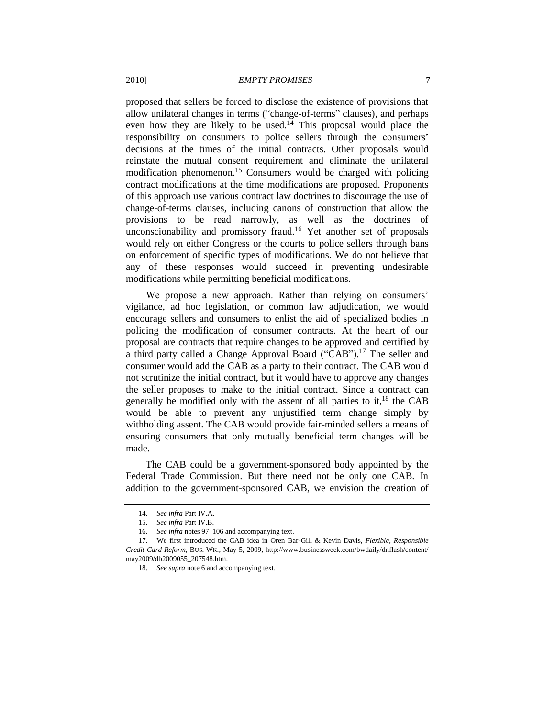proposed that sellers be forced to disclose the existence of provisions that allow unilateral changes in terms ("change-of-terms" clauses), and perhaps even how they are likely to be used.<sup>14</sup> This proposal would place the responsibility on consumers to police sellers through the consumers' decisions at the times of the initial contracts. Other proposals would reinstate the mutual consent requirement and eliminate the unilateral modification phenomenon.<sup>15</sup> Consumers would be charged with policing contract modifications at the time modifications are proposed. Proponents of this approach use various contract law doctrines to discourage the use of change-of-terms clauses, including canons of construction that allow the provisions to be read narrowly, as well as the doctrines of unconscionability and promissory fraud.<sup>16</sup> Yet another set of proposals would rely on either Congress or the courts to police sellers through bans on enforcement of specific types of modifications. We do not believe that any of these responses would succeed in preventing undesirable modifications while permitting beneficial modifications.

We propose a new approach. Rather than relying on consumers' vigilance, ad hoc legislation, or common law adjudication, we would encourage sellers and consumers to enlist the aid of specialized bodies in policing the modification of consumer contracts. At the heart of our proposal are contracts that require changes to be approved and certified by a third party called a Change Approval Board ("CAB").<sup>17</sup> The seller and consumer would add the CAB as a party to their contract. The CAB would not scrutinize the initial contract, but it would have to approve any changes the seller proposes to make to the initial contract. Since a contract can generally be modified only with the assent of all parties to it, $^{18}$  the CAB would be able to prevent any unjustified term change simply by withholding assent. The CAB would provide fair-minded sellers a means of ensuring consumers that only mutually beneficial term changes will be made.

The CAB could be a government-sponsored body appointed by the Federal Trade Commission. But there need not be only one CAB. In addition to the government-sponsored CAB, we envision the creation of

<sup>14.</sup> *See infra* Part IV.A.

<sup>15.</sup> *See infra* Part IV.B.

<sup>16.</sup> *See infra* note[s 97](#page-30-0)[–106](#page-32-1) and accompanying text.

<sup>17.</sup> We first introduced the CAB idea in Oren Bar-Gill & Kevin Davis, *Flexible, Responsible Credit-Card Reform*, BUS. WK., May 5, 2009, http://www.businessweek.com/bwdaily/dnflash/content/ may2009/db2009055\_207548.htm.

<sup>18.</sup> *See supra* not[e 6](#page-3-0) and accompanying text.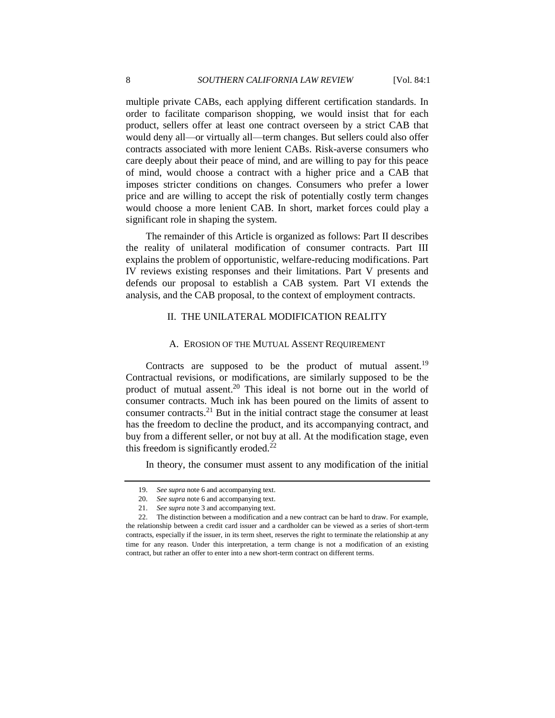multiple private CABs, each applying different certification standards. In order to facilitate comparison shopping, we would insist that for each product, sellers offer at least one contract overseen by a strict CAB that would deny all—or virtually all—term changes. But sellers could also offer contracts associated with more lenient CABs. Risk-averse consumers who care deeply about their peace of mind, and are willing to pay for this peace of mind, would choose a contract with a higher price and a CAB that imposes stricter conditions on changes. Consumers who prefer a lower price and are willing to accept the risk of potentially costly term changes would choose a more lenient CAB. In short, market forces could play a significant role in shaping the system.

The remainder of this Article is organized as follows: Part II describes the reality of unilateral modification of consumer contracts. Part III explains the problem of opportunistic, welfare-reducing modifications. Part IV reviews existing responses and their limitations. Part V presents and defends our proposal to establish a CAB system. Part VI extends the analysis, and the CAB proposal, to the context of employment contracts.

## <span id="page-7-0"></span>II. THE UNILATERAL MODIFICATION REALITY

#### A. EROSION OF THE MUTUAL ASSENT REQUIREMENT

<span id="page-7-1"></span>Contracts are supposed to be the product of mutual assent.<sup>19</sup> Contractual revisions, or modifications, are similarly supposed to be the product of mutual assent.<sup>20</sup> This ideal is not borne out in the world of consumer contracts. Much ink has been poured on the limits of assent to consumer contracts.<sup>21</sup> But in the initial contract stage the consumer at least has the freedom to decline the product, and its accompanying contract, and buy from a different seller, or not buy at all. At the modification stage, even this freedom is significantly eroded. $22$ 

In theory, the consumer must assent to any modification of the initial

<sup>19.</sup> *See supra* not[e 6](#page-3-0) and accompanying text.

<sup>20.</sup> *See supra* not[e 6](#page-3-0) and accompanying text.

<sup>21.</sup> *See supra* not[e 3](#page-2-1) and accompanying text.

<sup>22.</sup> The distinction between a modification and a new contract can be hard to draw. For example, the relationship between a credit card issuer and a cardholder can be viewed as a series of short-term contracts, especially if the issuer, in its term sheet, reserves the right to terminate the relationship at any time for any reason. Under this interpretation, a term change is not a modification of an existing contract, but rather an offer to enter into a new short-term contract on different terms.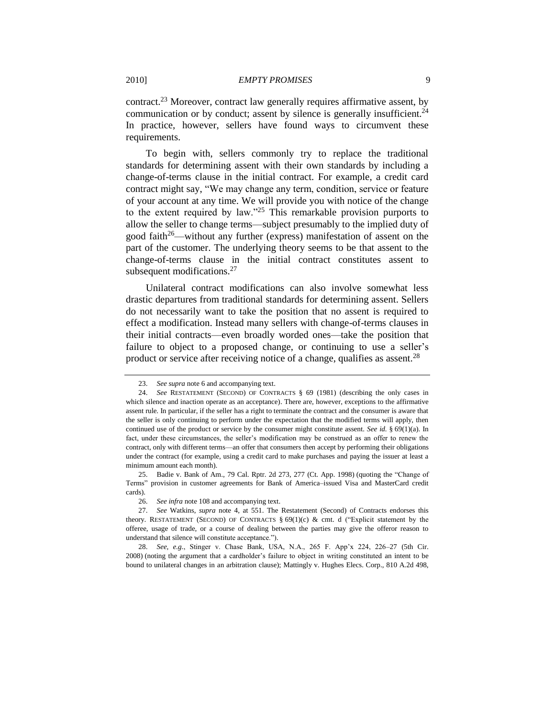contract.<sup>23</sup> Moreover, contract law generally requires affirmative assent, by communication or by conduct; assent by silence is generally insufficient.<sup>24</sup> In practice, however, sellers have found ways to circumvent these requirements.

To begin with, sellers commonly try to replace the traditional standards for determining assent with their own standards by including a change-of-terms clause in the initial contract. For example, a credit card contract might say, "We may change any term, condition, service or feature of your account at any time. We will provide you with notice of the change to the extent required by law.<sup> $25$ </sup> This remarkable provision purports to allow the seller to change terms—subject presumably to the implied duty of good faith<sup>26</sup>—without any further (express) manifestation of assent on the part of the customer. The underlying theory seems to be that assent to the change-of-terms clause in the initial contract constitutes assent to subsequent modifications.<sup>27</sup>

Unilateral contract modifications can also involve somewhat less drastic departures from traditional standards for determining assent. Sellers do not necessarily want to take the position that no assent is required to effect a modification. Instead many sellers with change-of-terms clauses in their initial contracts—even broadly worded ones—take the position that failure to object to a proposed change, or continuing to use a seller's product or service after receiving notice of a change, qualifies as assent.<sup>28</sup>

<sup>23.</sup> *See supra* not[e 6](#page-3-0) and accompanying text.

<sup>24.</sup> *See* RESTATEMENT (SECOND) OF CONTRACTS § 69 (1981) (describing the only cases in which silence and inaction operate as an acceptance). There are, however, exceptions to the affirmative assent rule. In particular, if the seller has a right to terminate the contract and the consumer is aware that the seller is only continuing to perform under the expectation that the modified terms will apply, then continued use of the product or service by the consumer might constitute assent. *See id.* § 69(1)(a). In fact, under these circumstances, the seller's modification may be construed as an offer to renew the contract, only with different terms—an offer that consumers then accept by performing their obligations under the contract (for example, using a credit card to make purchases and paying the issuer at least a minimum amount each month).

<sup>25.</sup> Badie v. Bank of Am., 79 Cal. Rptr. 2d 273, 277 (Ct. App. 1998) (quoting the "Change of Terms‖ provision in customer agreements for Bank of America–issued Visa and MasterCard credit cards).

<sup>26.</sup> *See infra* not[e 108](#page-33-1) and accompanying text.

<sup>27.</sup> *See* Watkins, *supra* note [4,](#page-2-0) at 551. The Restatement (Second) of Contracts endorses this theory. RESTATEMENT (SECOND) OF CONTRACTS §  $69(1)(c)$  & cmt. d ("Explicit statement by the offeree, usage of trade, or a course of dealing between the parties may give the offeror reason to understand that silence will constitute acceptance.").

<sup>28.</sup> *See, e.g.*, Stinger v. Chase Bank, USA, N.A., 265 F. App'x 224, 226–27 (5th Cir. 2008) (noting the argument that a cardholder's failure to object in writing constituted an intent to be bound to unilateral changes in an arbitration clause); Mattingly v. Hughes Elecs. Corp., 810 A.2d 498,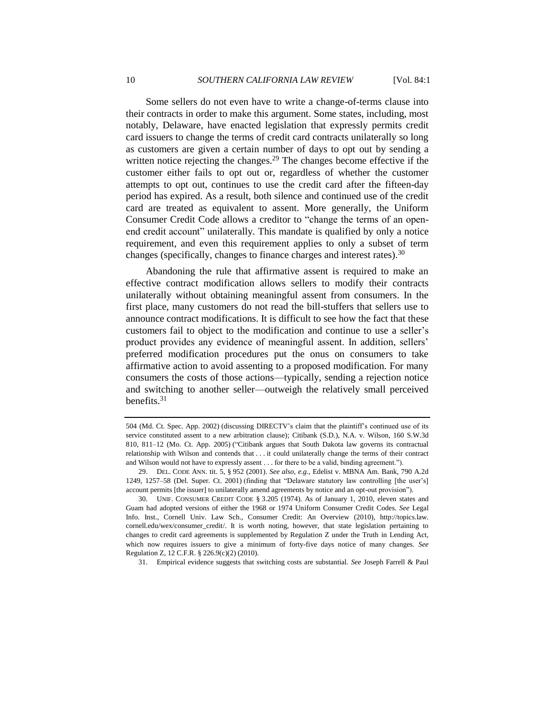Some sellers do not even have to write a change-of-terms clause into their contracts in order to make this argument. Some states, including, most notably, Delaware, have enacted legislation that expressly permits credit card issuers to change the terms of credit card contracts unilaterally so long as customers are given a certain number of days to opt out by sending a written notice rejecting the changes.<sup>29</sup> The changes become effective if the customer either fails to opt out or, regardless of whether the customer attempts to opt out, continues to use the credit card after the fifteen-day period has expired. As a result, both silence and continued use of the credit card are treated as equivalent to assent. More generally, the Uniform Consumer Credit Code allows a creditor to "change the terms of an openend credit account" unilaterally. This mandate is qualified by only a notice requirement, and even this requirement applies to only a subset of term changes (specifically, changes to finance charges and interest rates).<sup>30</sup>

Abandoning the rule that affirmative assent is required to make an effective contract modification allows sellers to modify their contracts unilaterally without obtaining meaningful assent from consumers. In the first place, many customers do not read the bill-stuffers that sellers use to announce contract modifications. It is difficult to see how the fact that these customers fail to object to the modification and continue to use a seller's product provides any evidence of meaningful assent. In addition, sellers' preferred modification procedures put the onus on consumers to take affirmative action to avoid assenting to a proposed modification. For many consumers the costs of those actions—typically, sending a rejection notice and switching to another seller—outweigh the relatively small perceived benefits. $31$ 

31. Empirical evidence suggests that switching costs are substantial. *See* Joseph Farrell & Paul

<span id="page-9-0"></span><sup>504 (</sup>Md. Ct. Spec. App. 2002) (discussing DIRECTV's claim that the plaintiff's continued use of its service constituted assent to a new arbitration clause); Citibank (S.D.), N.A. v. Wilson, 160 S.W.3d 810, 811-12 (Mo. Ct. App. 2005) ("Citibank argues that South Dakota law governs its contractual relationship with Wilson and contends that . . . it could unilaterally change the terms of their contract and Wilson would not have to expressly assent . . . for there to be a valid, binding agreement.").

<sup>29.</sup> DEL. CODE ANN. tit. 5, § 952 (2001). *See also, e.g.*, Edelist v. MBNA Am. Bank, 790 A.2d 1249, 1257–58 (Del. Super. Ct. 2001) (finding that "Delaware statutory law controlling [the user's] account permits [the issuer] to unilaterally amend agreements by notice and an opt-out provision").

<sup>30.</sup> UNIF. CONSUMER CREDIT CODE § 3.205 (1974). As of January 1, 2010, eleven states and Guam had adopted versions of either the 1968 or 1974 Uniform Consumer Credit Codes. *See* Legal Info. Inst., Cornell Univ. Law Sch., Consumer Credit: An Overview (2010), http://topics.law. cornell.edu/wex/consumer\_credit/. It is worth noting, however, that state legislation pertaining to changes to credit card agreements is supplemented by Regulation Z under the Truth in Lending Act, which now requires issuers to give a minimum of forty-five days notice of many changes. *See* Regulation Z, 12 C.F.R. § 226.9(c)(2) (2010).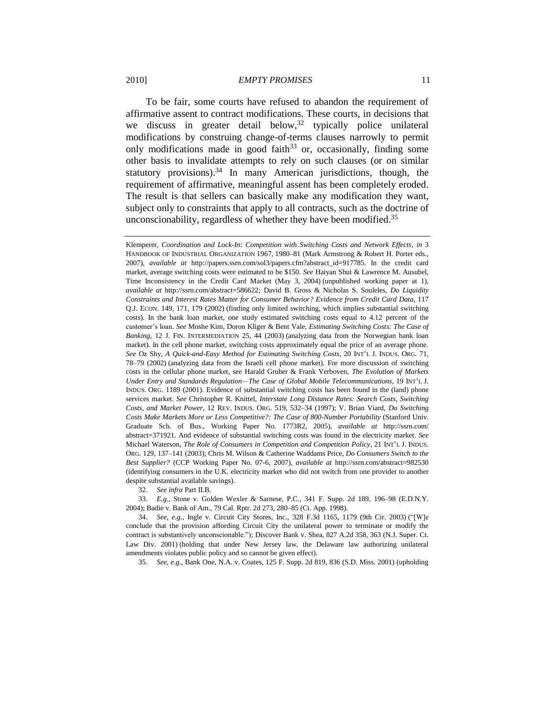To be fair, some courts have refused to abandon the requirement of affirmative assent to contract modifications. These courts, in decisions that we discuss in greater detail below,  $32$  typically police unilateral modifications by construing change-of-terms clauses narrowly to permit only modifications made in good faith<sup>33</sup> or, occasionally, finding some other basis to invalidate attempts to rely on such clauses (or on similar statutory provisions).<sup>34</sup> In many American jurisdictions, though, the requirement of affirmative, meaningful assent has been completely eroded. The result is that sellers can basically make any modification they want, subject only to constraints that apply to all contracts, such as the doctrine of unconscionability, regardless of whether they have been modified. $35$ 

Klemperer, *Coordination and Lock-In: Competition with Switching Costs and Network Effects*, *in* 3 HANDBOOK OF INDUSTRIAL ORGANIZATION 1967, 1980–81 (Mark Armstrong & Robert H. Porter eds., 2007), *available at* http://papers.ssrn.com/sol3/papers.cfm?abstract\_id=917785. In the credit card market, average switching costs were estimated to be \$150. *See* Haiyan Shui & Lawrence M. Ausubel, Time Inconsistency in the Credit Card Market (May 3, 2004) (unpublished working paper at 1), *available at* http://ssrn.com/abstract=586622; David B. Gross & Nicholas S. Souleles, *Do Liquidity Constraints and Interest Rates Matter for Consumer Behavior? Evidence from Credit Card Data*, 117 Q.J. ECON. 149, 171, 179 (2002) (finding only limited switching, which implies substantial switching costs). In the bank loan market, one study estimated switching costs equal to 4.12 percent of the customer's loan. *See* Moshe Kim, Doron Kliger & Bent Vale, *Estimating Switching Costs: The Case of Banking*, 12 J. FIN. INTERMEDIATION 25, 44 (2003) (analyzing data from the Norwegian bank loan market). In the cell phone market, switching costs approximately equal the price of an average phone. *See* Oz Shy, *A Quick-and-Easy Method for Estimating Switching Costs*, 20 INT'L J. INDUS. ORG. 71, 78–79 (2002) (analyzing data from the Israeli cell phone market). For more discussion of switching costs in the cellular phone market, see Harald Gruber & Frank Verboven, *The Evolution of Markets Under Entry and Standards Regulation—The Case of Global Mobile Telecommunications*, 19 INT'L J. INDUS. ORG. 1189 (2001). Evidence of substantial switching costs has been found in the (land) phone services market. *See* Christopher R. Knittel, *Interstate Long Distance Rates: Search Costs, Switching Costs, and Market Power*, 12 REV. INDUS. ORG. 519, 532–34 (1997); V. Brian Viard, *Do Switching Costs Make Markets More or Less Competitive?: The Case of 800-Number Portability* (Stanford Univ. Graduate Sch. of Bus., Working Paper No. 1773R2, 2005), *available at* http://ssrn.com/ abstract=371921. And evidence of substantial switching costs was found in the electricity market. *See* Michael Waterson, *The Role of Consumers in Competition and Competition Policy*, 21 INT'L J. INDUS. ORG. 129, 137–141 (2003); Chris M. Wilson & Catherine Waddams Price, *Do Consumers Switch to the Best Supplier?* (CCP Working Paper No. 07-6, 2007), *available at* http://ssrn.com/abstract=982530 (identifying consumers in the U.K. electricity market who did not switch from one provider to another despite substantial available savings).

32. *See infra* Part II.B.

33. *E.g.*, Stone v. [Golden Wexler & Sarnese, P.C.,](http://web2.westlaw.com/find/default.wl?rs=WLW9.07&ifm=NotSet&fn=_top&sv=Split&pbc=3F1E7F52&docname=CIK%28LE10159019%29&findtype=l&db=CO-LPAGE&vr=2.0&rp=%2ffind%2fdefault.wl&mt=208) 341 F. Supp. 2d 189, 196–98 (E.D.N.Y. 2004); Badie v. Bank of Am., 79 Cal. Rptr. 2d 273, 280–85 (Ct. App. 1998).

34. *See, e.g.*, Ingle v. Circuit City Stores, Inc., 328 F.3d 1165, 1179 (9th Cir. 2003) ("[W]e conclude that the provision affording Circuit City the unilateral power to terminate or modify the contract is substantively unconscionable."); Discover Bank v. Shea, 827 A.2d 358, 363 (N.J. Super. Ct. Law Div. 2001) (holding that under New Jersey law, the Delaware law authorizing unilateral amendments violates public policy and so cannot be given effect).

35. *See, e.g.*, Bank One, N.A. v. Coates, 125 F. Supp. 2d 819, 836 (S.D. Miss. 2001) (upholding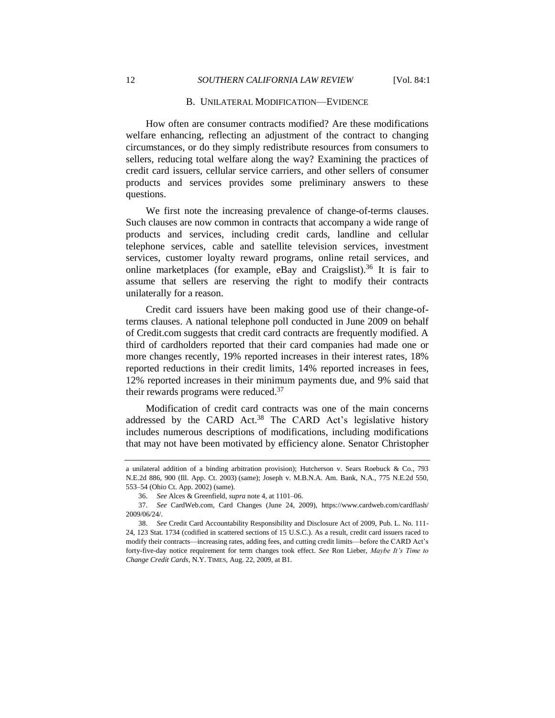#### B. UNILATERAL MODIFICATION—EVIDENCE

<span id="page-11-0"></span>How often are consumer contracts modified? Are these modifications welfare enhancing, reflecting an adjustment of the contract to changing circumstances, or do they simply redistribute resources from consumers to sellers, reducing total welfare along the way? Examining the practices of credit card issuers, cellular service carriers, and other sellers of consumer products and services provides some preliminary answers to these questions.

We first note the increasing prevalence of change-of-terms clauses. Such clauses are now common in contracts that accompany a wide range of products and services, including credit cards, landline and cellular telephone services, cable and satellite television services, investment services, customer loyalty reward programs, online retail services, and online marketplaces (for example, eBay and Craigslist).<sup>36</sup> It is fair to assume that sellers are reserving the right to modify their contracts unilaterally for a reason.

Credit card issuers have been making good use of their change-ofterms clauses. A national telephone poll conducted in June 2009 on behalf of Credit.com suggests that credit card contracts are frequently modified. A third of cardholders reported that their card companies had made one or more changes recently, 19% reported increases in their interest rates, 18% reported reductions in their credit limits, 14% reported increases in fees, 12% reported increases in their minimum payments due, and 9% said that their rewards programs were reduced. $37$ 

<span id="page-11-1"></span>Modification of credit card contracts was one of the main concerns addressed by the CARD Act.<sup>38</sup> The CARD Act's legislative history includes numerous descriptions of modifications, including modifications that may not have been motivated by efficiency alone. Senator Christopher

a unilateral addition of a binding arbitration provision); Hutcherson v. Sears Roebuck & Co., 793 N.E.2d 886, 900 (Ill. App. Ct. 2003) (same); Joseph v. M.B.N.A. Am. Bank, N.A., 775 N.E.2d 550, 553–54 (Ohio Ct. App. 2002) (same).

<sup>36.</sup> *See* Alces & Greenfield, *supra* not[e 4,](#page-2-0) at 1101–06.

<sup>37.</sup> *See* CardWeb.com, Card Changes (June 24, 2009), https://www.cardweb.com/cardflash/ 2009/06/24/.

<sup>38.</sup> *See* Credit Card Accountability Responsibility and Disclosure Act of 2009, Pub. L. No. 111- 24, 123 Stat. 1734 (codified in scattered sections of 15 U.S.C.). As a result, credit card issuers raced to modify their contracts—increasing rates, adding fees, and cutting credit limits—before the CARD Act's forty-five-day notice requirement for term changes took effect. *See* Ron Lieber, *Maybe It's Time to Change Credit Cards*, N.Y. TIMES, Aug. 22, 2009, at B1.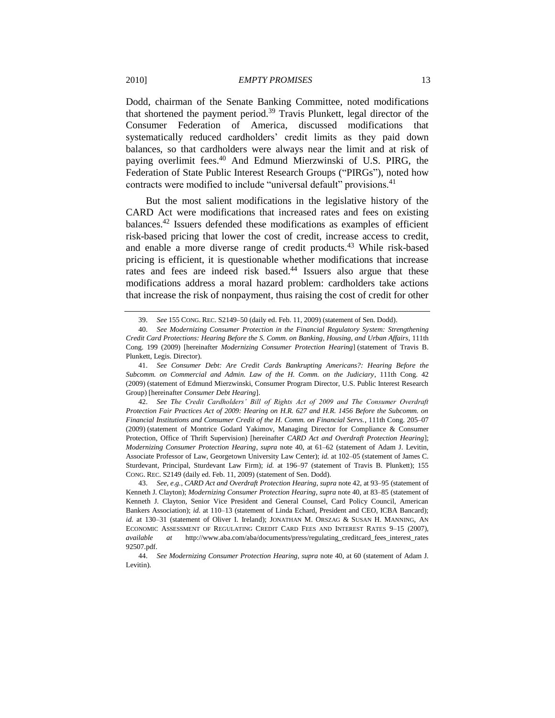Dodd, chairman of the Senate Banking Committee, noted modifications that shortened the payment period.<sup>39</sup> Travis Plunkett, legal director of the Consumer Federation of America, discussed modifications that systematically reduced cardholders' credit limits as they paid down balances, so that cardholders were always near the limit and at risk of paying overlimit fees. <sup>40</sup> And Edmund Mierzwinski of U.S. PIRG, the Federation of State Public Interest Research Groups ("PIRGs"), noted how contracts were modified to include "universal default" provisions.<sup>41</sup>

<span id="page-12-1"></span><span id="page-12-0"></span>But the most salient modifications in the legislative history of the CARD Act were modifications that increased rates and fees on existing balances.<sup>42</sup> Issuers defended these modifications as examples of efficient risk-based pricing that lower the cost of credit, increase access to credit, and enable a more diverse range of credit products.<sup>43</sup> While risk-based pricing is efficient, it is questionable whether modifications that increase rates and fees are indeed risk based.<sup>44</sup> Issuers also argue that these modifications address a moral hazard problem: cardholders take actions that increase the risk of nonpayment, thus raising the cost of credit for other

<span id="page-12-2"></span><sup>39.</sup> *See* 155 CONG. REC. S2149–50 (daily ed. Feb. 11, 2009) (statement of Sen. Dodd).

<sup>40.</sup> *See Modernizing Consumer Protection in the Financial Regulatory System: Strengthening Credit Card Protections: Hearing Before the S. Comm. on Banking, Housing, and Urban Affairs*, 111th Cong. 199 (2009) [hereinafter *Modernizing Consumer Protection Hearing*] (statement of Travis B. Plunkett, Legis. Director).

<sup>41.</sup> *See Consumer Debt: Are Credit Cards Bankrupting Americans?: Hearing Before the Subcomm. on Commercial and Admin. Law of the H. Comm. on the Judiciary*, 111th Cong. 42 (2009) (statement of Edmund Mierzwinski, Consumer Program Director, U.S. Public Interest Research Group) [hereinafter *Consumer Debt Hearing*].

<sup>42.</sup> *See The Credit Cardholders' Bill of Rights Act of 2009 and The Consumer Overdraft Protection Fair Practices Act of 2009: Hearing on H.R. 627 and H.R. 1456 Before the Subcomm. on Financial Institutions and Consumer Credit of the H. Comm. on Financial Servs.*, 111th Cong. 205–07 (2009) (statement of Montrice Godard Yakimov, Managing Director for Compliance & Consumer Protection, Office of Thrift Supervision) [hereinafter *CARD Act and Overdraft Protection Hearing*]; *Modernizing Consumer Protection Hearing*, *supra* note [40,](#page-12-0) at 61–62 (statement of Adam J. Levitin, Associate Professor of Law, Georgetown University Law Center); *id.* at 102–05 (statement of James C. Sturdevant, Principal, Sturdevant Law Firm); *id.* at 196-97 (statement of Travis B. Plunkett); 155 CONG. REC. S2149 (daily ed. Feb. 11, 2009) (statement of Sen. Dodd).

<sup>43.</sup> *See, e.g.*, *CARD Act and Overdraft Protection Hearing*, *supra* not[e 42,](#page-12-1) at 93–95 (statement of Kenneth J. Clayton); *Modernizing Consumer Protection Hearing*, *supra* not[e 40,](#page-12-0) at 83–85 (statement of Kenneth J. Clayton, Senior Vice President and General Counsel, Card Policy Council, American Bankers Association); *id.* at 110–13 (statement of Linda Echard, President and CEO, ICBA Bancard); *id.* at 130–31 (statement of Oliver I. Ireland); JONATHAN M. ORSZAG & SUSAN H. MANNING, AN ECONOMIC ASSESSMENT OF REGULATING CREDIT CARD FEES AND INTEREST RATES 9-15 (2007), *available at* http://www.aba.com/aba/documents/press/regulating\_creditcard\_fees\_interest\_rates 92507.pdf.

<sup>44.</sup> *See Modernizing Consumer Protection Hearing*, *supra* not[e 40,](#page-12-0) at 60 (statement of Adam J. Levitin).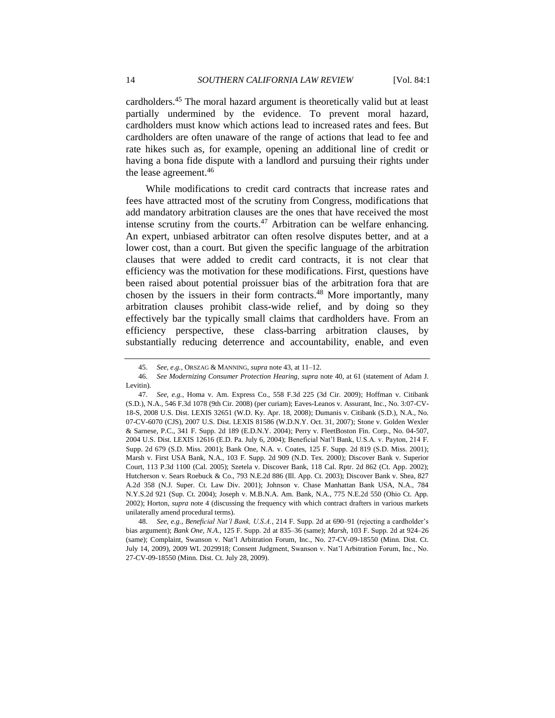cardholders.<sup>45</sup> The moral hazard argument is theoretically valid but at least partially undermined by the evidence. To prevent moral hazard, cardholders must know which actions lead to increased rates and fees. But cardholders are often unaware of the range of actions that lead to fee and rate hikes such as, for example, opening an additional line of credit or having a bona fide dispute with a landlord and pursuing their rights under the lease agreement. 46

While modifications to credit card contracts that increase rates and fees have attracted most of the scrutiny from Congress, modifications that add mandatory arbitration clauses are the ones that have received the most intense scrutiny from the courts. $47$  Arbitration can be welfare enhancing. An expert, unbiased arbitrator can often resolve disputes better, and at a lower cost, than a court. But given the specific language of the arbitration clauses that were added to credit card contracts, it is not clear that efficiency was the motivation for these modifications. First, questions have been raised about potential proissuer bias of the arbitration fora that are chosen by the issuers in their form contracts. <sup>48</sup> More importantly, many arbitration clauses prohibit class-wide relief, and by doing so they effectively bar the typically small claims that cardholders have. From an efficiency perspective, these class-barring arbitration clauses, by substantially reducing deterrence and accountability, enable, and even

<sup>45.</sup> *See, e.g.*, ORSZAG & MANNING, *supra* not[e 43,](#page-12-2) at 11–12.

<sup>46.</sup> *See Modernizing Consumer Protection Hearing*, *supra* not[e 40,](#page-12-0) at 61 (statement of Adam J. Levitin).

<sup>47.</sup> *See, e.g.*, Homa v. Am. Express Co., 558 F.3d 225 (3d Cir. 2009); Hoffman v. Citibank (S.D.), N.A., 546 F.3d 1078 (9th Cir. 2008) (per curiam); Eaves-Leanos v. Assurant, Inc., No. 3:07-CV-18-S, 2008 U.S. Dist. LEXIS 32651 (W.D. Ky. Apr. 18, 2008); Dumanis v. Citibank (S.D.), N.A., No. 07-CV-6070 (CJS), 2007 U.S. Dist. LEXIS 81586 (W.D.N.Y. Oct. 31, 2007); Stone v. Golden Wexler & Sarnese, P.C., 341 F. Supp. 2d 189 (E.D.N.Y. 2004); Perry v. FleetBoston Fin. Corp., No. 04-507, 2004 U.S. Dist. LEXIS 12616 (E.D. Pa. July 6, 2004); Beneficial Nat'l Bank, U.S.A. v. Payton, 214 F. Supp. 2d 679 (S.D. Miss. 2001); Bank One, N.A. v. Coates, 125 F. Supp. 2d 819 (S.D. Miss. 2001); Marsh v. First USA Bank, N.A., 103 F. Supp. 2d 909 (N.D. Tex. 2000); Discover Bank v. Superior Court, 113 P.3d 1100 (Cal. 2005); Szetela v. Discover Bank, 118 Cal. Rptr. 2d 862 (Ct. App. 2002); Hutcherson v. Sears Roebuck & Co., 793 N.E.2d 886 (Ill. App. Ct. 2003); Discover Bank v. Shea, 827 A.2d 358 (N.J. Super. Ct. Law Div. 2001); Johnson v. Chase Manhattan Bank USA, N.A., 784 N.Y.S.2d 921 (Sup. Ct. 2004); Joseph v. M.B.N.A. Am. Bank, N.A., 775 N.E.2d 550 (Ohio Ct. App. 2002); Horton, *supra* not[e 4](#page-2-0) (discussing the frequency with which contract drafters in various markets unilaterally amend procedural terms).

<sup>48.</sup> *See, e.g.*, *Beneficial Nat'l Bank, U.S.A.*, 214 F. Supp. 2d at 690–91 (rejecting a cardholder's bias argument); *Bank One, N.A.*, 125 F. Supp. 2d at 835–36 (same); *Marsh*, 103 F. Supp. 2d at 924–26 (same); Complaint, Swanson v. Nat'l Arbitration Forum, Inc., No. 27-CV-09-18550 (Minn. Dist. Ct. July 14, 2009), 2009 WL 2029918; Consent Judgment, Swanson v. Nat'l Arbitration Forum, Inc., No. 27-CV-09-18550 (Minn. Dist. Ct. July 28, 2009).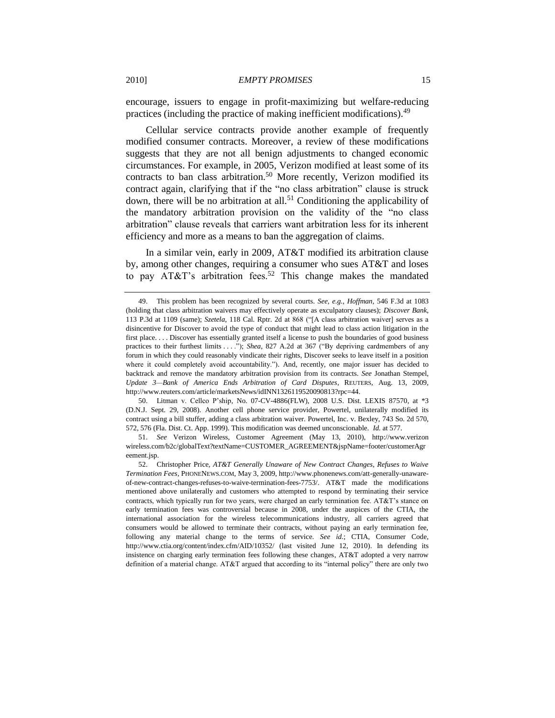encourage, issuers to engage in profit-maximizing but welfare-reducing practices (including the practice of making inefficient modifications).<sup>49</sup>

Cellular service contracts provide another example of frequently modified consumer contracts. Moreover, a review of these modifications suggests that they are not all benign adjustments to changed economic circumstances. For example, in 2005, Verizon modified at least some of its contracts to ban class arbitration.<sup>50</sup> More recently, Verizon modified its contract again, clarifying that if the "no class arbitration" clause is struck down, there will be no arbitration at all.<sup>51</sup> Conditioning the applicability of the mandatory arbitration provision on the validity of the "no class" arbitration" clause reveals that carriers want arbitration less for its inherent efficiency and more as a means to ban the aggregation of claims.

<span id="page-14-0"></span>In a similar vein, early in 2009, AT&T modified its arbitration clause by, among other changes, requiring a consumer who sues AT&T and loses to pay AT&T's arbitration fees.<sup>52</sup> This change makes the mandated

50. Litman v. Cellco P'ship, No. 07-CV-4886(FLW), 2008 U.S. Dist. LEXIS 87570, at \*3 (D.N.J. Sept. 29, 2008). Another cell phone service provider, Powertel, unilaterally modified its contract using a bill stuffer, adding a class arbitration waiver. Powertel, Inc. v. Bexley, 743 So. 2d 570, 572, 576 (Fla. Dist. Ct. App. 1999). This modification was deemed unconscionable. *Id.* at 577.

51. *See* Verizon Wireless, Customer Agreement (May 13, 2010), http://www.verizon wireless.com/b2c/globalText?textName=CUSTOMER\_AGREEMENT&jspName=footer/customerAgr eement.jsp.

<sup>49.</sup> This problem has been recognized by several courts. *See, e.g.*, *Hoffman*, 546 F.3d at 1083 (holding that class arbitration waivers may effectively operate as exculpatory clauses); *Discover Bank*, 113 P.3d at 1109 (same); *Szetela*, 118 Cal. Rptr. 2d at 868 ("[A class arbitration waiver] serves as a disincentive for Discover to avoid the type of conduct that might lead to class action litigation in the first place. . . . Discover has essentially granted itself a license to push the boundaries of good business practices to their furthest limits . . . .<sup>"</sup>); *Shea*, 827 A.2d at 367 ("By depriving cardmembers of any forum in which they could reasonably vindicate their rights, Discover seeks to leave itself in a position where it could completely avoid accountability."). And, recently, one major issuer has decided to backtrack and remove the mandatory arbitration provision from its contracts. *See* Jonathan Stempel, *Update 3—Bank of America Ends Arbitration of Card Disputes*, REUTERS, Aug. 13, 2009, http://www.reuters.com/article/marketsNews/idINN1326119520090813?rpc=44.

<sup>52.</sup> Christopher Price, *[AT&T Generally Unaware of New Contract Changes, Refuses to Waive](http://www.phonenews.com/att-generally-unaware-of-new-contract-changes-refuses-to-waive-termination-fees-7753/)  [Termination Fees](http://www.phonenews.com/att-generally-unaware-of-new-contract-changes-refuses-to-waive-termination-fees-7753/)*, PHONENEWS.COM, May 3, 2009, http://www.phonenews.com/att-generally-unawareof-new-contract-changes-refuses-to-waive-termination-fees-7753/. AT&T made the modifications mentioned above unilaterally and customers who attempted to respond by terminating their service contracts, which typically run for two years, were charged an early termination fee. AT&T's stance on early termination fees was controversial because in 2008, under the auspices of the CTIA, the international association for the wireless telecommunications industry, all carriers agreed that consumers would be allowed to terminate their contracts, without paying an early termination fee, following any material change to the terms of service. *See id.*; CTIA, Consumer Code, http://www.ctia.org/content/index.cfm/AID/10352/ (last visited June 12, 2010). In defending its insistence on charging early termination fees following these changes, AT&T adopted a very narrow definition of a material change. AT&T argued that according to its "internal policy" there are only two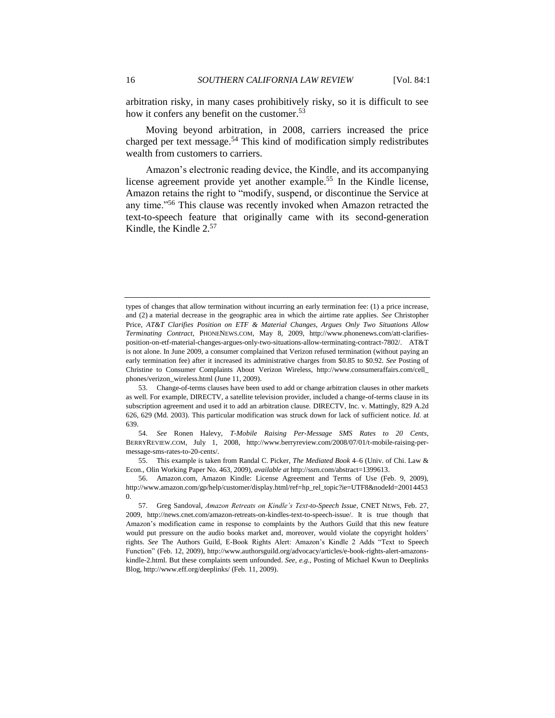arbitration risky, in many cases prohibitively risky, so it is difficult to see how it confers any benefit on the customer.<sup>53</sup>

Moving beyond arbitration, in 2008, carriers increased the price charged per text message.<sup>54</sup> This kind of modification simply redistributes wealth from customers to carriers.

<span id="page-15-2"></span><span id="page-15-1"></span>Amazon's electronic reading device, the Kindle, and its accompanying license agreement provide yet another example.<sup>55</sup> In the Kindle license, Amazon retains the right to "modify, suspend, or discontinue the Service at any time."<sup>56</sup> This clause was recently invoked when Amazon retracted the text-to-speech feature that originally came with its second-generation Kindle, the Kindle  $2.57$ 

55. This example is taken from Randal C. Picker, *The Mediated Book* 4–6 (Univ. of Chi. Law & Econ., Olin Working Paper No. 463, 2009), *available at* http://ssrn.com/abstract=1399613.

<span id="page-15-0"></span>types of changes that allow termination without incurring an early termination fee: (1) a price increase, and (2) a material decrease in the geographic area in which the airtime rate applies. *See* Christopher Price, *AT&T Clarifies Position on ETF & Material Changes, Argues Only Two Situations Allow Terminating Contract*, PHONENEWS.COM, May 8, 2009, http://www.phonenews.com/att-clarifiesposition-on-etf-material-changes-argues-only-two-situations-allow-terminating-contract-7802/. AT&T is not alone. In June 2009, a consumer complained that Verizon refused termination (without paying an early termination fee) after it increased its administrative charges from \$0.85 to \$0.92. *See* Posting of Christine to Consumer Complaints About Verizon Wireless, http://www.consumeraffairs.com/cell\_ phones/verizon\_wireless.html (June 11, 2009).

<sup>53.</sup> Change-of-terms clauses have been used to add or change arbitration clauses in other markets as well. For example, DIRECTV, a satellite television provider, included a change-of-terms clause in its subscription agreement and used it to add an arbitration clause. DIRECTV, Inc. v. Mattingly, 829 A.2d 626, 629 (Md. 2003). This particular modification was struck down for lack of sufficient notice. *Id.* at 639.

<sup>54.</sup> *See* Ronen Halevy, *T-Mobile Raising Per-Message SMS Rates to 20 Cents*, BERRYREVIEW.COM, July 1, 2008, http://www.berryreview.com/2008/07/01/t-mobile-raising-permessage-sms-rates-to-20-cents/.

<sup>56.</sup> Amazon.com, Amazon Kindle: License Agreement and Terms of Use (Feb. 9, 2009), http://www.amazon.com/gp/help/customer/display.html/ref=hp\_rel\_topic?ie=UTF8&nodeId=20014453 0.

<sup>57.</sup> Greg Sandoval, *Amazon Retreats on Kindle's Text-to-Speech Issue*, CNET NEWS, Feb. 27, 2009, http://news.cnet.com/amazon-retreats-on-kindles-text-to-speech-issue/. It is true though that Amazon's modification came in response to complaints by the Authors Guild that this new feature would put pressure on the audio books market and, moreover, would violate the copyright holders' rights. See The Authors Guild, E-Book Rights Alert: Amazon's Kindle 2 Adds "Text to Speech Function‖ (Feb. 12, 2009), http://www.authorsguild.org/advocacy/articles/e-book-rights-alert-amazonskindle-2.html. But these complaints seem unfounded. *See, e.g.*, Posting of Michael Kwun to Deeplinks Blog, http://www.eff.org/deeplinks/ (Feb. 11, 2009).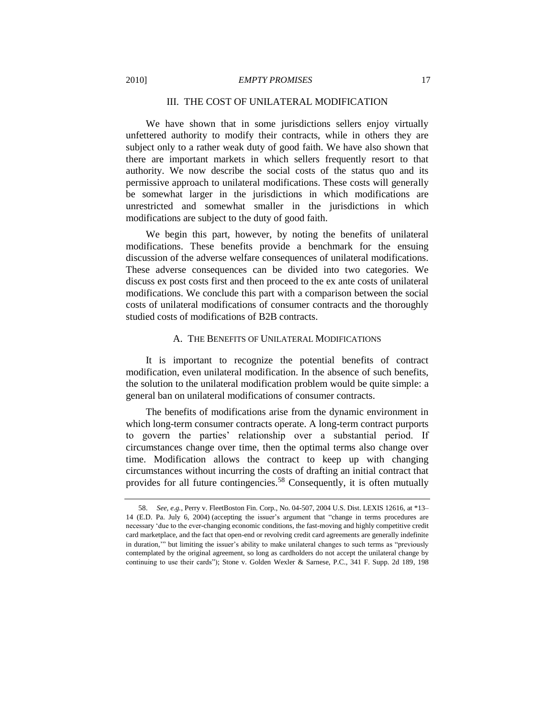#### III. THE COST OF UNILATERAL MODIFICATION

We have shown that in some jurisdictions sellers enjoy virtually unfettered authority to modify their contracts, while in others they are subject only to a rather weak duty of good faith. We have also shown that there are important markets in which sellers frequently resort to that authority. We now describe the social costs of the status quo and its permissive approach to unilateral modifications. These costs will generally be somewhat larger in the jurisdictions in which modifications are unrestricted and somewhat smaller in the jurisdictions in which modifications are subject to the duty of good faith.

We begin this part, however, by noting the benefits of unilateral modifications. These benefits provide a benchmark for the ensuing discussion of the adverse welfare consequences of unilateral modifications. These adverse consequences can be divided into two categories. We discuss ex post costs first and then proceed to the ex ante costs of unilateral modifications. We conclude this part with a comparison between the social costs of unilateral modifications of consumer contracts and the thoroughly studied costs of modifications of B2B contracts.

## A. THE BENEFITS OF UNILATERAL MODIFICATIONS

<span id="page-16-0"></span>It is important to recognize the potential benefits of contract modification, even unilateral modification. In the absence of such benefits, the solution to the unilateral modification problem would be quite simple: a general ban on unilateral modifications of consumer contracts.

The benefits of modifications arise from the dynamic environment in which long-term consumer contracts operate. A long-term contract purports to govern the parties' relationship over a substantial period. If circumstances change over time, then the optimal terms also change over time. Modification allows the contract to keep up with changing circumstances without incurring the costs of drafting an initial contract that provides for all future contingencies.<sup>58</sup> Consequently, it is often mutually

<sup>58.</sup> *See, e.g.*, Perry v. FleetBoston Fin. Corp., No. 04-507, 2004 U.S. Dist. LEXIS 12616, at \*13– 14 (E.D. Pa. July 6, 2004) (accepting the issuer's argument that "change in terms procedures are necessary ‗due to the ever-changing economic conditions, the fast-moving and highly competitive credit card marketplace, and the fact that open-end or revolving credit card agreements are generally indefinite in duration," but limiting the issuer's ability to make unilateral changes to such terms as "previously contemplated by the original agreement, so long as cardholders do not accept the unilateral change by continuing to use their cards"); Stone v. Golden Wexler & Sarnese, P.C., 341 F. Supp. 2d 189, 198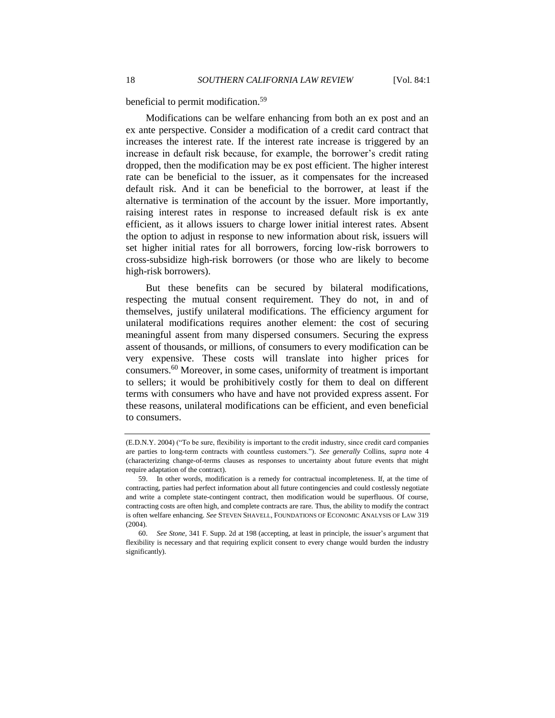<span id="page-17-1"></span>beneficial to permit modification.<sup>59</sup>

Modifications can be welfare enhancing from both an ex post and an ex ante perspective. Consider a modification of a credit card contract that increases the interest rate. If the interest rate increase is triggered by an increase in default risk because, for example, the borrower's credit rating dropped, then the modification may be ex post efficient. The higher interest rate can be beneficial to the issuer, as it compensates for the increased default risk. And it can be beneficial to the borrower, at least if the alternative is termination of the account by the issuer. More importantly, raising interest rates in response to increased default risk is ex ante efficient, as it allows issuers to charge lower initial interest rates. Absent the option to adjust in response to new information about risk, issuers will set higher initial rates for all borrowers, forcing low-risk borrowers to cross-subsidize high-risk borrowers (or those who are likely to become high-risk borrowers).

But these benefits can be secured by bilateral modifications, respecting the mutual consent requirement. They do not, in and of themselves, justify unilateral modifications. The efficiency argument for unilateral modifications requires another element: the cost of securing meaningful assent from many dispersed consumers. Securing the express assent of thousands, or millions, of consumers to every modification can be very expensive. These costs will translate into higher prices for consumers.<sup>60</sup> Moreover, in some cases, uniformity of treatment is important to sellers; it would be prohibitively costly for them to deal on different terms with consumers who have and have not provided express assent. For these reasons, unilateral modifications can be efficient, and even beneficial to consumers.

<span id="page-17-0"></span><sup>(</sup>E.D.N.Y. 2004) ("To be sure, flexibility is important to the credit industry, since credit card companies are parties to long-term contracts with countless customers."). See generally Collins, *supra* note [4](#page-2-0) (characterizing change-of-terms clauses as responses to uncertainty about future events that might require adaptation of the contract).

<sup>59.</sup> In other words, modification is a remedy for contractual incompleteness. If, at the time of contracting, parties had perfect information about all future contingencies and could costlessly negotiate and write a complete state-contingent contract, then modification would be superfluous. Of course, contracting costs are often high, and complete contracts are rare. Thus, the ability to modify the contract is often welfare enhancing. *See* STEVEN SHAVELL, FOUNDATIONS OF ECONOMIC ANALYSIS OF LAW 319 (2004).

<sup>60.</sup> *See Stone*, 341 F. Supp. 2d at 198 (accepting, at least in principle, the issuer's argument that flexibility is necessary and that requiring explicit consent to every change would burden the industry significantly).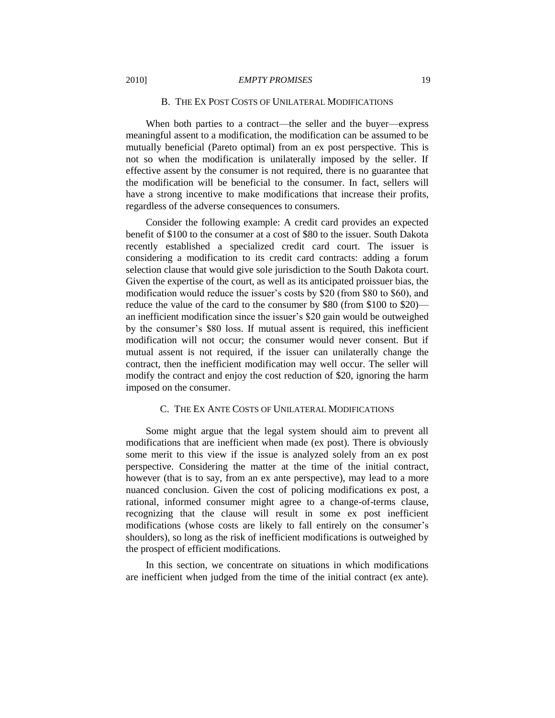#### B. THE EX POST COSTS OF UNILATERAL MODIFICATIONS

<span id="page-18-0"></span>When both parties to a contract—the seller and the buyer—express meaningful assent to a modification, the modification can be assumed to be mutually beneficial (Pareto optimal) from an ex post perspective. This is not so when the modification is unilaterally imposed by the seller. If effective assent by the consumer is not required, there is no guarantee that the modification will be beneficial to the consumer. In fact, sellers will have a strong incentive to make modifications that increase their profits, regardless of the adverse consequences to consumers.

Consider the following example: A credit card provides an expected benefit of \$100 to the consumer at a cost of \$80 to the issuer. South Dakota recently established a specialized credit card court. The issuer is considering a modification to its credit card contracts: adding a forum selection clause that would give sole jurisdiction to the South Dakota court. Given the expertise of the court, as well as its anticipated proissuer bias, the modification would reduce the issuer's costs by \$20 (from \$80 to \$60), and reduce the value of the card to the consumer by \$80 (from \$100 to \$20) an inefficient modification since the issuer's \$20 gain would be outweighed by the consumer's \$80 loss. If mutual assent is required, this inefficient modification will not occur; the consumer would never consent. But if mutual assent is not required, if the issuer can unilaterally change the contract, then the inefficient modification may well occur. The seller will modify the contract and enjoy the cost reduction of \$20, ignoring the harm imposed on the consumer.

#### C. THE EX ANTE COSTS OF UNILATERAL MODIFICATIONS

<span id="page-18-1"></span>Some might argue that the legal system should aim to prevent all modifications that are inefficient when made (ex post). There is obviously some merit to this view if the issue is analyzed solely from an ex post perspective. Considering the matter at the time of the initial contract, however (that is to say, from an ex ante perspective), may lead to a more nuanced conclusion. Given the cost of policing modifications ex post, a rational, informed consumer might agree to a change-of-terms clause, recognizing that the clause will result in some ex post inefficient modifications (whose costs are likely to fall entirely on the consumer's shoulders), so long as the risk of inefficient modifications is outweighed by the prospect of efficient modifications.

In this section, we concentrate on situations in which modifications are inefficient when judged from the time of the initial contract (ex ante).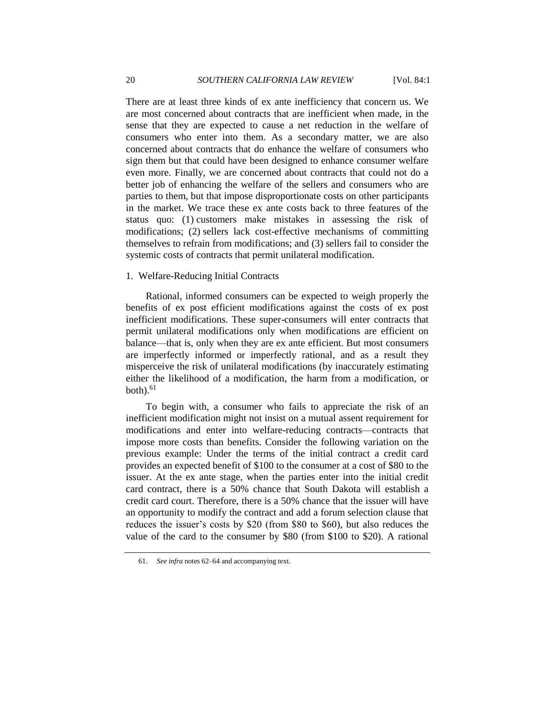There are at least three kinds of ex ante inefficiency that concern us. We are most concerned about contracts that are inefficient when made, in the sense that they are expected to cause a net reduction in the welfare of consumers who enter into them. As a secondary matter, we are also concerned about contracts that do enhance the welfare of consumers who sign them but that could have been designed to enhance consumer welfare even more. Finally, we are concerned about contracts that could not do a better job of enhancing the welfare of the sellers and consumers who are parties to them, but that impose disproportionate costs on other participants in the market. We trace these ex ante costs back to three features of the status quo: (1) customers make mistakes in assessing the risk of modifications; (2) sellers lack cost-effective mechanisms of committing themselves to refrain from modifications; and (3) sellers fail to consider the systemic costs of contracts that permit unilateral modification.

#### <span id="page-19-0"></span>1. Welfare-Reducing Initial Contracts

Rational, informed consumers can be expected to weigh properly the benefits of ex post efficient modifications against the costs of ex post inefficient modifications. These super-consumers will enter contracts that permit unilateral modifications only when modifications are efficient on balance—that is, only when they are ex ante efficient. But most consumers are imperfectly informed or imperfectly rational, and as a result they misperceive the risk of unilateral modifications (by inaccurately estimating either the likelihood of a modification, the harm from a modification, or  $both)<sub>0</sub>$ <sup>61</sup>

To begin with, a consumer who fails to appreciate the risk of an inefficient modification might not insist on a mutual assent requirement for modifications and enter into welfare-reducing contracts—contracts that impose more costs than benefits. Consider the following variation on the previous example: Under the terms of the initial contract a credit card provides an expected benefit of \$100 to the consumer at a cost of \$80 to the issuer. At the ex ante stage, when the parties enter into the initial credit card contract, there is a 50% chance that South Dakota will establish a credit card court. Therefore, there is a 50% chance that the issuer will have an opportunity to modify the contract and add a forum selection clause that reduces the issuer's costs by \$20 (from \$80 to \$60), but also reduces the value of the card to the consumer by \$80 (from \$100 to \$20). A rational

<sup>61.</sup> *See infra* note[s 62](#page-21-1)[–64](#page-21-2) and accompanying text.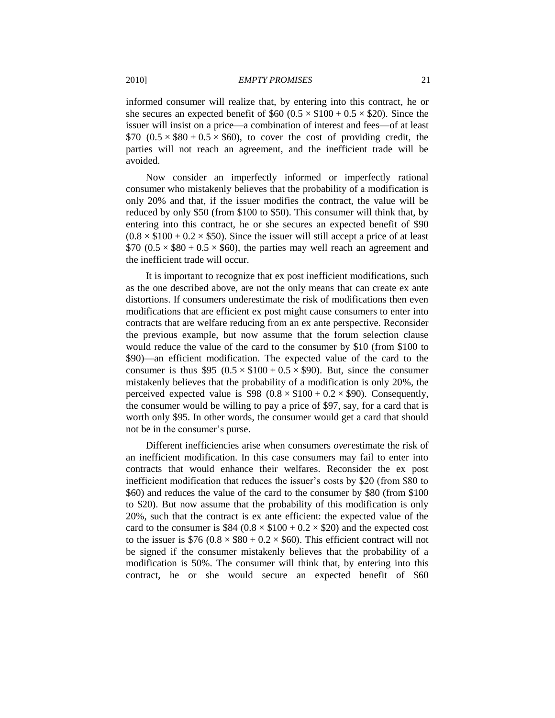informed consumer will realize that, by entering into this contract, he or she secures an expected benefit of  $$60 (0.5 \times $100 + 0.5 \times $20)$ . Since the issuer will insist on a price—a combination of interest and fees—of at least \$70  $(0.5 \times $80 + 0.5 \times $60)$ , to cover the cost of providing credit, the parties will not reach an agreement, and the inefficient trade will be avoided.

Now consider an imperfectly informed or imperfectly rational consumer who mistakenly believes that the probability of a modification is only 20% and that, if the issuer modifies the contract, the value will be reduced by only \$50 (from \$100 to \$50). This consumer will think that, by entering into this contract, he or she secures an expected benefit of \$90  $(0.8 \times \$100 + 0.2 \times \$50)$ . Since the issuer will still accept a price of at least  $$70 (0.5 \times $80 + 0.5 \times $60)$ , the parties may well reach an agreement and the inefficient trade will occur.

It is important to recognize that ex post inefficient modifications, such as the one described above, are not the only means that can create ex ante distortions. If consumers underestimate the risk of modifications then even modifications that are efficient ex post might cause consumers to enter into contracts that are welfare reducing from an ex ante perspective. Reconsider the previous example, but now assume that the forum selection clause would reduce the value of the card to the consumer by \$10 (from \$100 to \$90)—an efficient modification. The expected value of the card to the consumer is thus \$95  $(0.5 \times $100 + 0.5 \times $90)$ . But, since the consumer mistakenly believes that the probability of a modification is only 20%, the perceived expected value is  $$98 (0.8 \times $100 + 0.2 \times $90)$ . Consequently, the consumer would be willing to pay a price of \$97, say, for a card that is worth only \$95. In other words, the consumer would get a card that should not be in the consumer's purse.

Different inefficiencies arise when consumers *over*estimate the risk of an inefficient modification. In this case consumers may fail to enter into contracts that would enhance their welfares. Reconsider the ex post inefficient modification that reduces the issuer's costs by \$20 (from \$80 to \$60) and reduces the value of the card to the consumer by \$80 (from \$100 to \$20). But now assume that the probability of this modification is only 20%, such that the contract is ex ante efficient: the expected value of the card to the consumer is \$84 ( $0.8 \times $100 + 0.2 \times $20$ ) and the expected cost to the issuer is  $$76 (0.8 \times $80 + 0.2 \times $60)$ . This efficient contract will not be signed if the consumer mistakenly believes that the probability of a modification is 50%. The consumer will think that, by entering into this contract, he or she would secure an expected benefit of \$60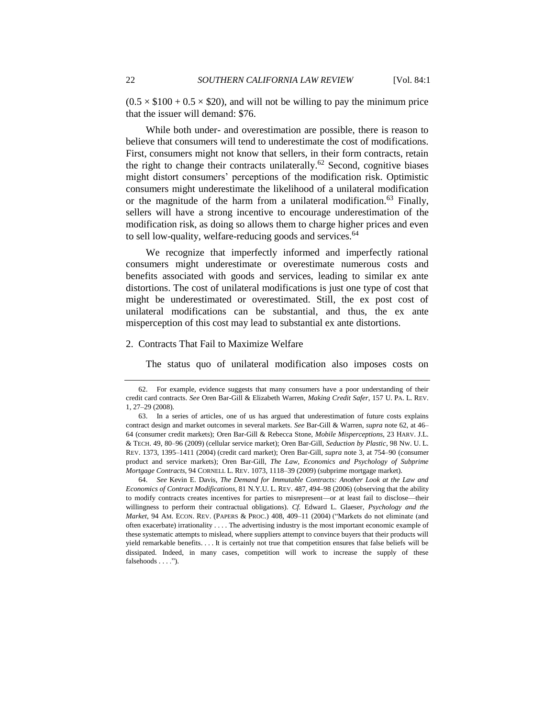$(0.5 \times $100 + 0.5 \times $20)$ , and will not be willing to pay the minimum price that the issuer will demand: \$76.

<span id="page-21-1"></span>While both under- and overestimation are possible, there is reason to believe that consumers will tend to underestimate the cost of modifications. First, consumers might not know that sellers, in their form contracts, retain the right to change their contracts unilaterally.<sup>62</sup> Second, cognitive biases might distort consumers' perceptions of the modification risk. Optimistic consumers might underestimate the likelihood of a unilateral modification or the magnitude of the harm from a unilateral modification.<sup>63</sup> Finally, sellers will have a strong incentive to encourage underestimation of the modification risk, as doing so allows them to charge higher prices and even to sell low-quality, welfare-reducing goods and services.<sup>64</sup>

<span id="page-21-2"></span>We recognize that imperfectly informed and imperfectly rational consumers might underestimate or overestimate numerous costs and benefits associated with goods and services, leading to similar ex ante distortions. The cost of unilateral modifications is just one type of cost that might be underestimated or overestimated. Still, the ex post cost of unilateral modifications can be substantial, and thus, the ex ante misperception of this cost may lead to substantial ex ante distortions.

#### <span id="page-21-0"></span>2. Contracts That Fail to Maximize Welfare

The status quo of unilateral modification also imposes costs on

64. *See* Kevin E. Davis, *The Demand for Immutable Contracts: Another Look at the Law and Economics of Contract Modifications*, 81 N.Y.U. L. REV. 487, 494–98 (2006) (observing that the ability to modify contracts creates incentives for parties to misrepresent—or at least fail to disclose—their willingness to perform their contractual obligations). *Cf.* Edward L. Glaeser, *Psychology and the Market*, 94 AM. ECON. REV. (PAPERS & PROC.) 408, 409-11 (2004) ("Markets do not eliminate (and often exacerbate) irrationality . . . . The advertising industry is the most important economic example of these systematic attempts to mislead, where suppliers attempt to convince buyers that their products will yield remarkable benefits. . . . It is certainly not true that competition ensures that false beliefs will be dissipated. Indeed, in many cases, competition will work to increase the supply of these falsehoods  $\dots$  .").

<sup>62.</sup> For example, evidence suggests that many consumers have a poor understanding of their credit card contracts. *See* Oren Bar-Gill & Elizabeth Warren, *Making Credit Safer*, 157 U. PA. L. REV. 1, 27–29 (2008).

<sup>63.</sup> In a series of articles, one of us has argued that underestimation of future costs explains contract design and market outcomes in several markets. *See* Bar-Gill & Warren, *supra* not[e 62,](#page-21-1) at 46– 64 (consumer credit markets); Oren Bar-Gill & Rebecca Stone, *Mobile Misperceptions*, 23 HARV. J.L. & TECH. 49, 80–96 (2009) (cellular service market); Oren Bar-Gill, *Seduction by Plastic*, 98 NW. U. L. REV. 1373, 1395–1411 (2004) (credit card market); Oren Bar-Gill, *supra* note [3,](#page-2-1) at 754–90 (consumer product and service markets); Oren Bar-Gill, *The Law, Economics and Psychology of Subprime Mortgage Contracts*, 94 CORNELL L. REV. 1073, 1118–39 (2009) (subprime mortgage market).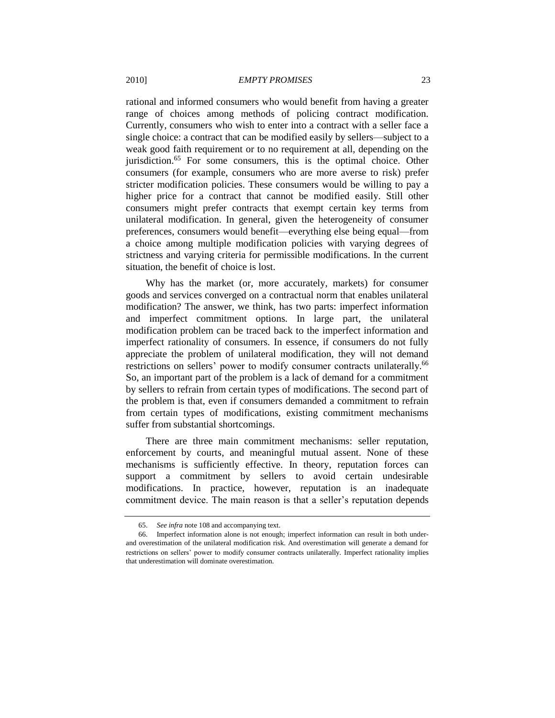rational and informed consumers who would benefit from having a greater range of choices among methods of policing contract modification. Currently, consumers who wish to enter into a contract with a seller face a single choice: a contract that can be modified easily by sellers—subject to a weak good faith requirement or to no requirement at all, depending on the iurisdiction.<sup>65</sup> For some consumers, this is the optimal choice. Other consumers (for example, consumers who are more averse to risk) prefer stricter modification policies. These consumers would be willing to pay a higher price for a contract that cannot be modified easily. Still other consumers might prefer contracts that exempt certain key terms from unilateral modification. In general, given the heterogeneity of consumer preferences, consumers would benefit—everything else being equal—from a choice among multiple modification policies with varying degrees of strictness and varying criteria for permissible modifications. In the current situation, the benefit of choice is lost.

Why has the market (or, more accurately, markets) for consumer goods and services converged on a contractual norm that enables unilateral modification? The answer, we think, has two parts: imperfect information and imperfect commitment options. In large part, the unilateral modification problem can be traced back to the imperfect information and imperfect rationality of consumers. In essence, if consumers do not fully appreciate the problem of unilateral modification, they will not demand restrictions on sellers' power to modify consumer contracts unilaterally.<sup>66</sup> So, an important part of the problem is a lack of demand for a commitment by sellers to refrain from certain types of modifications. The second part of the problem is that, even if consumers demanded a commitment to refrain from certain types of modifications, existing commitment mechanisms suffer from substantial shortcomings.

There are three main commitment mechanisms: seller reputation, enforcement by courts, and meaningful mutual assent. None of these mechanisms is sufficiently effective. In theory, reputation forces can support a commitment by sellers to avoid certain undesirable modifications. In practice, however, reputation is an inadequate commitment device. The main reason is that a seller's reputation depends

<sup>65.</sup> *See infra* not[e 108](#page-33-1) and accompanying text.

<sup>66.</sup> Imperfect information alone is not enough; imperfect information can result in both underand overestimation of the unilateral modification risk. And overestimation will generate a demand for restrictions on sellers' power to modify consumer contracts unilaterally. Imperfect rationality implies that underestimation will dominate overestimation.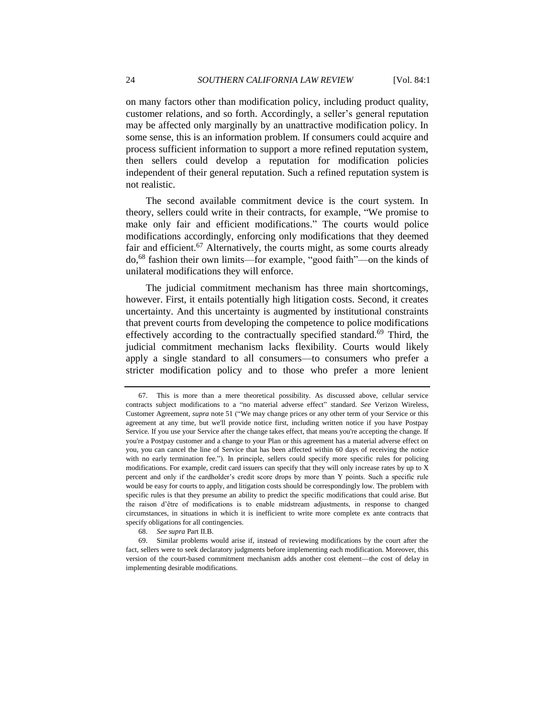on many factors other than modification policy, including product quality, customer relations, and so forth. Accordingly, a seller's general reputation may be affected only marginally by an unattractive modification policy. In some sense, this is an information problem. If consumers could acquire and process sufficient information to support a more refined reputation system, then sellers could develop a reputation for modification policies independent of their general reputation. Such a refined reputation system is not realistic.

The second available commitment device is the court system. In theory, sellers could write in their contracts, for example, "We promise to make only fair and efficient modifications." The courts would police modifications accordingly, enforcing only modifications that they deemed fair and efficient.<sup>67</sup> Alternatively, the courts might, as some courts already do,<sup>68</sup> fashion their own limits—for example, "good faith"—on the kinds of unilateral modifications they will enforce.

<span id="page-23-0"></span>The judicial commitment mechanism has three main shortcomings, however. First, it entails potentially high litigation costs. Second, it creates uncertainty. And this uncertainty is augmented by institutional constraints that prevent courts from developing the competence to police modifications effectively according to the contractually specified standard.<sup>69</sup> Third, the judicial commitment mechanism lacks flexibility. Courts would likely apply a single standard to all consumers—to consumers who prefer a stricter modification policy and to those who prefer a more lenient

68. *See supra* Part II.B.

<sup>67.</sup> This is more than a mere theoretical possibility. As discussed above, cellular service contracts subject modifications to a "no material adverse effect" standard. See Verizon Wireless, Customer Agreement, *supra* note [51](#page-14-0) ("We may change prices or any other term of your Service or this agreement at any time, but we'll provide notice first, including written notice if you have Postpay Service. If you use your Service after the change takes effect, that means you're accepting the change. If you're a Postpay customer and a change to your Plan or this agreement has a material adverse effect on you, you can cancel the line of Service that has been affected within 60 days of receiving the notice with no early termination fee."). In principle, sellers could specify more specific rules for policing modifications. For example, credit card issuers can specify that they will only increase rates by up to X percent and only if the cardholder's credit score drops by more than Y points. Such a specific rule would be easy for courts to apply, and litigation costs should be correspondingly low. The problem with specific rules is that they presume an ability to predict the specific modifications that could arise. But the raison d'être of modifications is to enable midstream adjustments, in response to changed circumstances, in situations in which it is inefficient to write more complete ex ante contracts that specify obligations for all contingencies.

<sup>69.</sup> Similar problems would arise if, instead of reviewing modifications by the court after the fact, sellers were to seek declaratory judgments before implementing each modification. Moreover, this version of the court-based commitment mechanism adds another cost element—the cost of delay in implementing desirable modifications.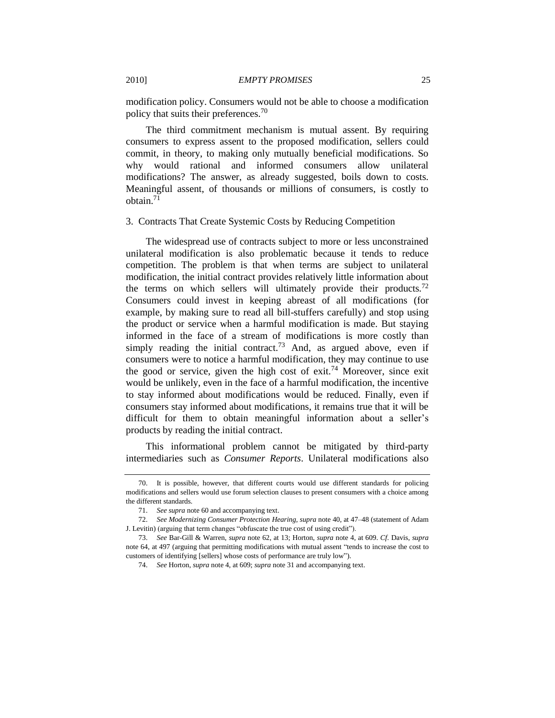<span id="page-24-1"></span>modification policy. Consumers would not be able to choose a modification policy that suits their preferences.<sup>70</sup>

The third commitment mechanism is mutual assent. By requiring consumers to express assent to the proposed modification, sellers could commit, in theory, to making only mutually beneficial modifications. So why would rational and informed consumers allow unilateral modifications? The answer, as already suggested, boils down to costs. Meaningful assent, of thousands or millions of consumers, is costly to obtain.<sup>71</sup>

#### <span id="page-24-0"></span>3. Contracts That Create Systemic Costs by Reducing Competition

The widespread use of contracts subject to more or less unconstrained unilateral modification is also problematic because it tends to reduce competition. The problem is that when terms are subject to unilateral modification, the initial contract provides relatively little information about the terms on which sellers will ultimately provide their products.<sup>72</sup> Consumers could invest in keeping abreast of all modifications (for example, by making sure to read all bill-stuffers carefully) and stop using the product or service when a harmful modification is made. But staying informed in the face of a stream of modifications is more costly than simply reading the initial contract.<sup>73</sup> And, as argued above, even if consumers were to notice a harmful modification, they may continue to use the good or service, given the high cost of exit.<sup>74</sup> Moreover, since exit would be unlikely, even in the face of a harmful modification, the incentive to stay informed about modifications would be reduced. Finally, even if consumers stay informed about modifications, it remains true that it will be difficult for them to obtain meaningful information about a seller's products by reading the initial contract.

This informational problem cannot be mitigated by third-party intermediaries such as *Consumer Reports*. Unilateral modifications also

<sup>70.</sup> It is possible, however, that different courts would use different standards for policing modifications and sellers would use forum selection clauses to present consumers with a choice among the different standards.

<sup>71.</sup> *See supra* not[e 60](#page-17-0) and accompanying text.

<sup>72.</sup> *See Modernizing Consumer Protection Hearing*, *supra* not[e 40,](#page-12-0) at 47–48 (statement of Adam J. Levitin) (arguing that term changes "obfuscate the true cost of using credit").

<sup>73.</sup> *See* Bar-Gill & Warren, *supra* note [62,](#page-21-1) at 13; Horton, *supra* not[e 4,](#page-2-0) at 609. *Cf.* Davis, *supra* note [64,](#page-21-2) at 497 (arguing that permitting modifications with mutual assent "tends to increase the cost to customers of identifying [sellers] whose costs of performance are truly low".

<sup>74.</sup> *See* Horton, *supra* note [4,](#page-2-0) at 609; *supra* note [31](#page-9-0) and accompanying text.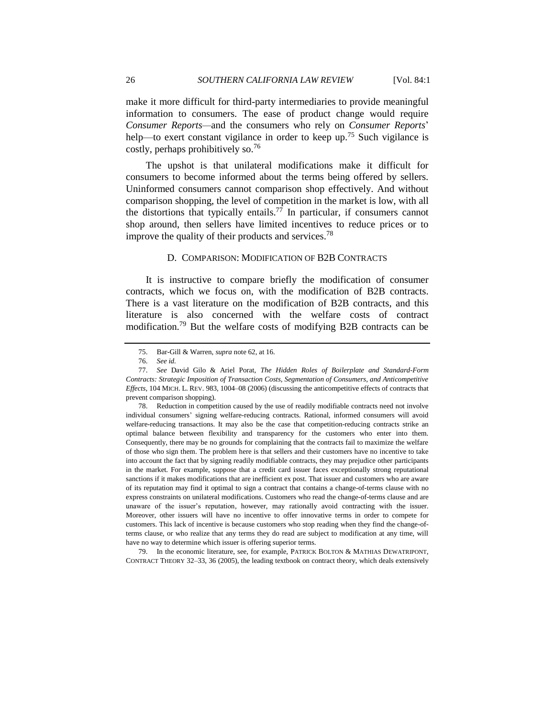make it more difficult for third-party intermediaries to provide meaningful information to consumers. The ease of product change would require *Consumer Reports—*and the consumers who rely on *Consumer Reports*' help—to exert constant vigilance in order to keep up.<sup>75</sup> Such vigilance is costly, perhaps prohibitively so.<sup>76</sup>

The upshot is that unilateral modifications make it difficult for consumers to become informed about the terms being offered by sellers. Uninformed consumers cannot comparison shop effectively. And without comparison shopping, the level of competition in the market is low, with all the distortions that typically entails.<sup>77</sup> In particular, if consumers cannot shop around, then sellers have limited incentives to reduce prices or to improve the quality of their products and services.<sup>78</sup>

#### D. COMPARISON: MODIFICATION OF B2B CONTRACTS

<span id="page-25-0"></span>It is instructive to compare briefly the modification of consumer contracts, which we focus on, with the modification of B2B contracts. There is a vast literature on the modification of B2B contracts, and this literature is also concerned with the welfare costs of contract modification.<sup>79</sup> But the welfare costs of modifying B2B contracts can be

<span id="page-25-1"></span><sup>75.</sup> Bar-Gill & Warren, *supra* note [62,](#page-21-1) at 16.

<sup>76.</sup> *See id.*

<sup>77.</sup> *See* David Gilo & Ariel Porat, *The Hidden Roles of Boilerplate and Standard-Form Contracts: Strategic Imposition of Transaction Costs, Segmentation of Consumers, and Anticompetitive Effects*, 104 MICH. L. REV. 983, 1004–08 (2006) (discussing the anticompetitive effects of contracts that prevent comparison shopping).

<sup>78.</sup> Reduction in competition caused by the use of readily modifiable contracts need not involve individual consumers' signing welfare-reducing contracts. Rational, informed consumers will avoid welfare-reducing transactions. It may also be the case that competition-reducing contracts strike an optimal balance between flexibility and transparency for the customers who enter into them. Consequently, there may be no grounds for complaining that the contracts fail to maximize the welfare of those who sign them. The problem here is that sellers and their customers have no incentive to take into account the fact that by signing readily modifiable contracts, they may prejudice other participants in the market. For example, suppose that a credit card issuer faces exceptionally strong reputational sanctions if it makes modifications that are inefficient ex post. That issuer and customers who are aware of its reputation may find it optimal to sign a contract that contains a change-of-terms clause with no express constraints on unilateral modifications. Customers who read the change-of-terms clause and are unaware of the issuer's reputation, however, may rationally avoid contracting with the issuer. Moreover, other issuers will have no incentive to offer innovative terms in order to compete for customers. This lack of incentive is because customers who stop reading when they find the change-ofterms clause, or who realize that any terms they do read are subject to modification at any time, will have no way to determine which issuer is offering superior terms.

<sup>79.</sup> In the economic literature, see, for example, PATRICK BOLTON & MATHIAS DEWATRIPONT, CONTRACT THEORY 32–33, 36 (2005), the leading textbook on contract theory, which deals extensively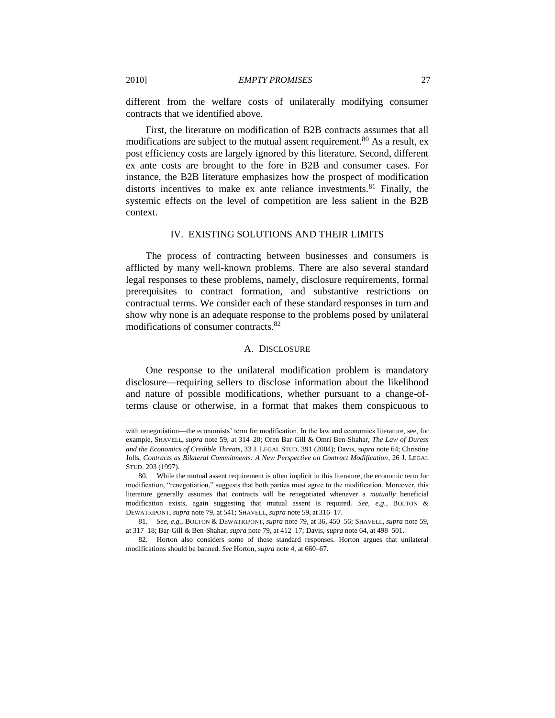different from the welfare costs of unilaterally modifying consumer contracts that we identified above.

First, the literature on modification of B2B contracts assumes that all modifications are subject to the mutual assent requirement.<sup>80</sup> As a result, ex post efficiency costs are largely ignored by this literature. Second, different ex ante costs are brought to the fore in B2B and consumer cases. For instance, the B2B literature emphasizes how the prospect of modification distorts incentives to make ex ante reliance investments.<sup>81</sup> Finally, the systemic effects on the level of competition are less salient in the B2B context.

## <span id="page-26-2"></span>IV. EXISTING SOLUTIONS AND THEIR LIMITS

<span id="page-26-0"></span>The process of contracting between businesses and consumers is afflicted by many well-known problems. There are also several standard legal responses to these problems, namely, disclosure requirements, formal prerequisites to contract formation, and substantive restrictions on contractual terms. We consider each of these standard responses in turn and show why none is an adequate response to the problems posed by unilateral modifications of consumer contracts.<sup>82</sup>

#### A. DISCLOSURE

<span id="page-26-1"></span>One response to the unilateral modification problem is mandatory disclosure—requiring sellers to disclose information about the likelihood and nature of possible modifications, whether pursuant to a change-ofterms clause or otherwise, in a format that makes them conspicuous to

with renegotiation—the economists' term for modification. In the law and economics literature, see, for example, SHAVELL, *supra* note [59,](#page-17-1) at 314–20; Oren Bar-Gill & Omri Ben-Shahar, *The Law of Duress and the Economics of Credible Threats*, 33 J. LEGAL STUD. 391 (2004); Davis, *supra* note [64;](#page-21-2) Christine Jolls, *Contracts as Bilateral Commitments: A New Perspective on Contract Modification*, 26 J. LEGAL STUD. 203 (1997).

<sup>80.</sup> While the mutual assent requirement is often implicit in this literature, the economic term for modification, "renegotiation," suggests that both parties must agree to the modification. Moreover, this literature generally assumes that contracts will be renegotiated whenever a *mutually* beneficial modification exists, again suggesting that mutual assent is required. *See, e.g.*, BOLTON & DEWATRIPONT, *supra* note [79,](#page-25-1) at 541; SHAVELL, *supra* note [59,](#page-17-1) at 316–17.

<sup>81.</sup> *See, e.g.*, BOLTON & DEWATRIPONT, *supra* note [79,](#page-25-1) at 36, 450–56; SHAVELL, *supra* note [59,](#page-17-1) at 317–18; Bar-Gill & Ben-Shahar, *supra* note [79,](#page-25-1) at 412–17; Davis, *supra* note [64,](#page-21-2) at 498–501.

<sup>82.</sup> Horton also considers some of these standard responses. Horton argues that unilateral modifications should be banned. *See* Horton, *supra* not[e 4,](#page-2-0) at 660–67.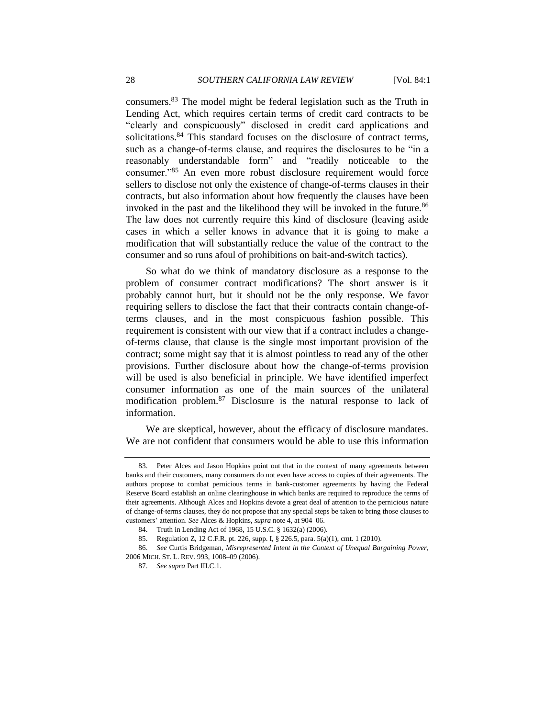consumers.<sup>83</sup> The model might be federal legislation such as the Truth in Lending Act, which requires certain terms of credit card contracts to be "clearly and conspicuously" disclosed in credit card applications and solicitations.<sup>84</sup> This standard focuses on the disclosure of contract terms, such as a change-of-terms clause, and requires the disclosures to be "in a reasonably understandable form" and "readily noticeable to the consumer."<sup>85</sup> An even more robust disclosure requirement would force sellers to disclose not only the existence of change-of-terms clauses in their contracts, but also information about how frequently the clauses have been invoked in the past and the likelihood they will be invoked in the future.<sup>86</sup> The law does not currently require this kind of disclosure (leaving aside cases in which a seller knows in advance that it is going to make a modification that will substantially reduce the value of the contract to the consumer and so runs afoul of prohibitions on bait-and-switch tactics).

So what do we think of mandatory disclosure as a response to the problem of consumer contract modifications? The short answer is it probably cannot hurt, but it should not be the only response. We favor requiring sellers to disclose the fact that their contracts contain change-ofterms clauses, and in the most conspicuous fashion possible. This requirement is consistent with our view that if a contract includes a changeof-terms clause, that clause is the single most important provision of the contract; some might say that it is almost pointless to read any of the other provisions. Further disclosure about how the change-of-terms provision will be used is also beneficial in principle. We have identified imperfect consumer information as one of the main sources of the unilateral modification problem.<sup>87</sup> Disclosure is the natural response to lack of information.

We are skeptical, however, about the efficacy of disclosure mandates. We are not confident that consumers would be able to use this information

<sup>83.</sup> Peter Alces and Jason Hopkins point out that in the context of many agreements between banks and their customers, many consumers do not even have access to copies of their agreements. The authors propose to combat pernicious terms in bank-customer agreements by having the Federal Reserve Board establish an online clearinghouse in which banks are required to reproduce the terms of their agreements. Although Alces and Hopkins devote a great deal of attention to the pernicious nature of change-of-terms clauses, they do not propose that any special steps be taken to bring those clauses to customers' attention. *See* Alces & Hopkins, *supra* not[e 4,](#page-2-0) at 904–06.

<sup>84.</sup> Truth in Lending Act of 1968, 15 U.S.C. § 1632(a) (2006).

<sup>85.</sup> Regulation Z, 12 C.F.R. pt. 226, supp. I, § 226.5, para. 5(a)(1), cmt. 1 (2010).

<sup>86.</sup> *See* Curtis Bridgeman, *Misrepresented Intent in the Context of Unequal Bargaining Power*, 2006 MICH. ST. L. REV. 993, 1008–09 (2006).

<sup>87.</sup> *See supra* Part III.C.1.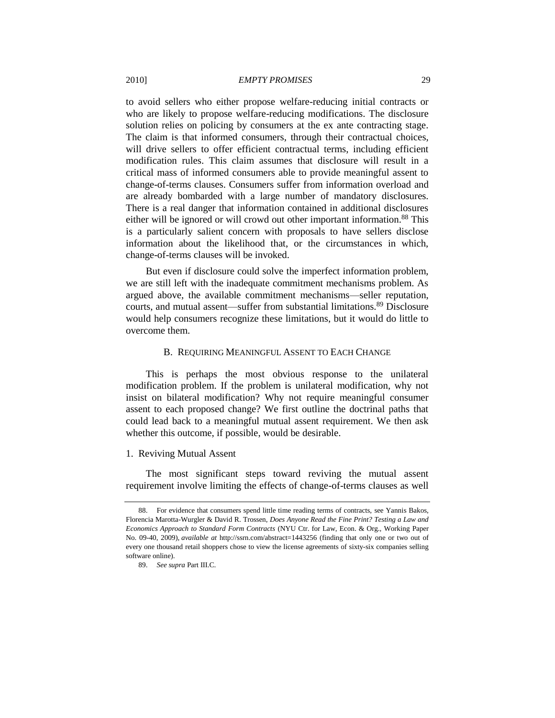to avoid sellers who either propose welfare-reducing initial contracts or who are likely to propose welfare-reducing modifications. The disclosure solution relies on policing by consumers at the ex ante contracting stage. The claim is that informed consumers, through their contractual choices, will drive sellers to offer efficient contractual terms, including efficient modification rules. This claim assumes that disclosure will result in a critical mass of informed consumers able to provide meaningful assent to change-of-terms clauses. Consumers suffer from information overload and are already bombarded with a large number of mandatory disclosures. There is a real danger that information contained in additional disclosures either will be ignored or will crowd out other important information.<sup>88</sup> This is a particularly salient concern with proposals to have sellers disclose information about the likelihood that, or the circumstances in which, change-of-terms clauses will be invoked.

But even if disclosure could solve the imperfect information problem, we are still left with the inadequate commitment mechanisms problem. As argued above, the available commitment mechanisms—seller reputation, courts, and mutual assent—suffer from substantial limitations.<sup>89</sup> Disclosure would help consumers recognize these limitations, but it would do little to overcome them.

#### B. REQUIRING MEANINGFUL ASSENT TO EACH CHANGE

<span id="page-28-0"></span>This is perhaps the most obvious response to the unilateral modification problem. If the problem is unilateral modification, why not insist on bilateral modification? Why not require meaningful consumer assent to each proposed change? We first outline the doctrinal paths that could lead back to a meaningful mutual assent requirement. We then ask whether this outcome, if possible, would be desirable.

#### <span id="page-28-1"></span>1. Reviving Mutual Assent

The most significant steps toward reviving the mutual assent requirement involve limiting the effects of change-of-terms clauses as well

<sup>88.</sup> For evidence that consumers spend little time reading terms of contracts, see Yannis Bakos, Florencia Marotta-Wurgler & David R. Trossen, *Does Anyone Read the Fine Print? Testing a Law and Economics Approach to Standard Form Contracts* (NYU Ctr. for Law, Econ. & Org., Working Paper No. 09-40, 2009), *available at* http://ssrn.com/abstract=1443256 (finding that only one or two out of every one thousand retail shoppers chose to view the license agreements of sixty-six companies selling software online).

<sup>89.</sup> *See supra* Part III.C.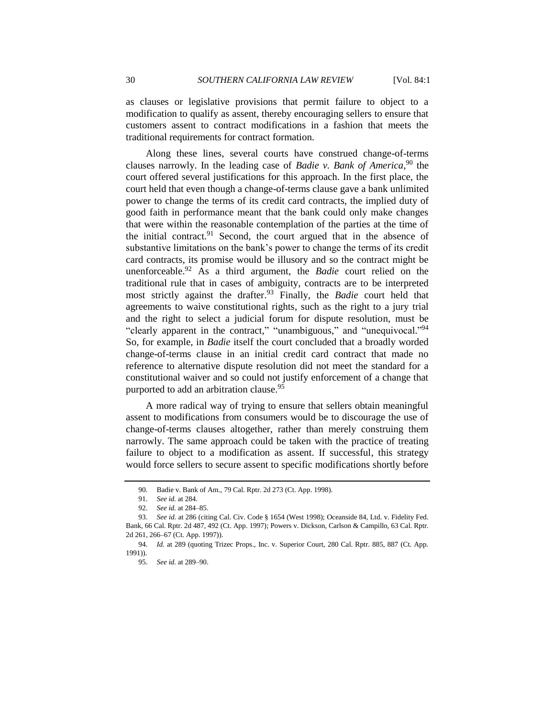as clauses or legislative provisions that permit failure to object to a modification to qualify as assent, thereby encouraging sellers to ensure that customers assent to contract modifications in a fashion that meets the traditional requirements for contract formation.

Along these lines, several courts have construed change-of-terms clauses narrowly. In the leading case of *Badie v. Bank of America*,<sup>90</sup> the court offered several justifications for this approach. In the first place, the court held that even though a change-of-terms clause gave a bank unlimited power to change the terms of its credit card contracts, the implied duty of good faith in performance meant that the bank could only make changes that were within the reasonable contemplation of the parties at the time of the initial contract.<sup>91</sup> Second, the court argued that in the absence of substantive limitations on the bank's power to change the terms of its credit card contracts, its promise would be illusory and so the contract might be unenforceable.<sup>92</sup> As a third argument, the *Badie* court relied on the traditional rule that in cases of ambiguity, contracts are to be interpreted most strictly against the drafter.<sup>93</sup> Finally, the *Badie* court held that agreements to waive constitutional rights, such as the right to a jury trial and the right to select a judicial forum for dispute resolution, must be "clearly apparent in the contract," "unambiguous," and "unequivocal."<sup>94</sup> So, for example, in *Badie* itself the court concluded that a broadly worded change-of-terms clause in an initial credit card contract that made no reference to alternative dispute resolution did not meet the standard for a constitutional waiver and so could not justify enforcement of a change that purported to add an arbitration clause.<sup>95</sup>

A more radical way of trying to ensure that sellers obtain meaningful assent to modifications from consumers would be to discourage the use of change-of-terms clauses altogether, rather than merely construing them narrowly. The same approach could be taken with the practice of treating failure to object to a modification as assent. If successful, this strategy would force sellers to secure assent to specific modifications shortly before

<sup>90.</sup> Badie v. Bank of Am., 79 Cal. Rptr. 2d 273 (Ct. App. 1998).

<sup>91.</sup> *See id.* at 284.

<sup>92.</sup> *See id.* at 284–85.

<sup>93.</sup> *See id.* at 286 (citing Cal. Civ. Code § 1654 (West 1998); Oceanside 84, Ltd. v. Fidelity Fed. Bank, 66 Cal. Rptr. 2d 487, 492 (Ct. App. 1997); Powers v. Dickson, Carlson & Campillo, 63 Cal. Rptr. 2d 261, 266–67 (Ct. App. 1997)).

<sup>94.</sup> *Id.* at 289 (quoting Trizec Props., Inc. v. Superior Court, 280 Cal. Rptr. 885, 887 (Ct. App. 1991)).

<sup>95.</sup> *See id.* at 289–90.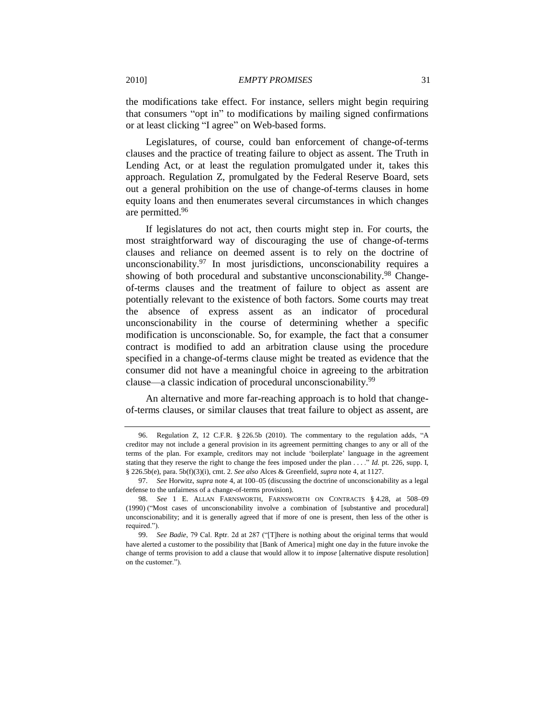the modifications take effect. For instance, sellers might begin requiring that consumers "opt in" to modifications by mailing signed confirmations or at least clicking "I agree" on Web-based forms.

Legislatures, of course, could ban enforcement of change-of-terms clauses and the practice of treating failure to object as assent. The Truth in Lending Act, or at least the regulation promulgated under it, takes this approach. Regulation Z, promulgated by the Federal Reserve Board, sets out a general prohibition on the use of change-of-terms clauses in home equity loans and then enumerates several circumstances in which changes are permitted.<sup>96</sup>

<span id="page-30-0"></span>If legislatures do not act, then courts might step in. For courts, the most straightforward way of discouraging the use of change-of-terms clauses and reliance on deemed assent is to rely on the doctrine of unconscionability. $97$  In most jurisdictions, unconscionability requires a showing of both procedural and substantive unconscionability.<sup>98</sup> Changeof-terms clauses and the treatment of failure to object as assent are potentially relevant to the existence of both factors. Some courts may treat the absence of express assent as an indicator of procedural unconscionability in the course of determining whether a specific modification is unconscionable. So, for example, the fact that a consumer contract is modified to add an arbitration clause using the procedure specified in a change-of-terms clause might be treated as evidence that the consumer did not have a meaningful choice in agreeing to the arbitration clause—a classic indication of procedural unconscionability.<sup>99</sup>

An alternative and more far-reaching approach is to hold that changeof-terms clauses, or similar clauses that treat failure to object as assent, are

<sup>96.</sup> Regulation Z, 12 C.F.R.  $\S$  226.5b (2010). The commentary to the regulation adds, "A creditor may not include a general provision in its agreement permitting changes to any or all of the terms of the plan. For example, creditors may not include ‗boilerplate' language in the agreement stating that they reserve the right to change the fees imposed under the plan  $\dots$ ." *Id.* pt. 226, supp. I, § 226.5b(e), para. 5b(f)(3)(i), cmt. 2. *See also* Alces & Greenfield, *supra* not[e 4,](#page-2-0) at 1127.

<sup>97.</sup> *See* Horwitz, *supra* not[e 4,](#page-2-0) at 100–05 (discussing the doctrine of unconscionability as a legal defense to the unfairness of a change-of-terms provision).

<sup>98.</sup> *See* 1 E. ALLAN FARNSWORTH, FARNSWORTH ON CONTRACTS § 4.28, at 508–09 (1990) ("Most cases of unconscionability involve a combination of [substantive and procedural] unconscionability; and it is generally agreed that if more of one is present, then less of the other is required.").

<sup>99.</sup> *See Badie*, 79 Cal. Rptr. 2d at 287 ("[T]here is nothing about the original terms that would have alerted a customer to the possibility that [Bank of America] might one day in the future invoke the change of terms provision to add a clause that would allow it to *impose* [alternative dispute resolution] on the customer.").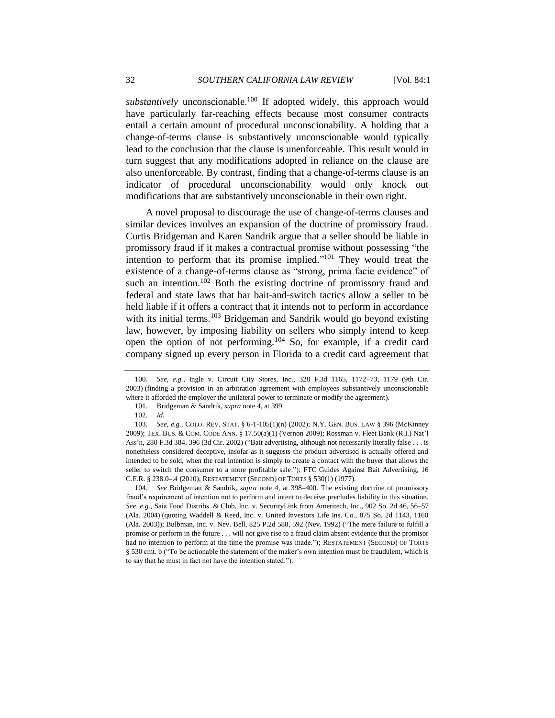*substantively* unconscionable.<sup>100</sup> If adopted widely, this approach would have particularly far-reaching effects because most consumer contracts entail a certain amount of procedural unconscionability. A holding that a change-of-terms clause is substantively unconscionable would typically lead to the conclusion that the clause is unenforceable. This result would in turn suggest that any modifications adopted in reliance on the clause are also unenforceable. By contrast, finding that a change-of-terms clause is an indicator of procedural unconscionability would only knock out modifications that are substantively unconscionable in their own right.

A novel proposal to discourage the use of change-of-terms clauses and similar devices involves an expansion of the doctrine of promissory fraud. Curtis Bridgeman and Karen Sandrik argue that a seller should be liable in promissory fraud if it makes a contractual promise without possessing "the intention to perform that its promise implied. $101$  They would treat the existence of a change-of-terms clause as "strong, prima facie evidence" of such an intention.<sup>102</sup> Both the existing doctrine of promissory fraud and federal and state laws that bar bait-and-switch tactics allow a seller to be held liable if it offers a contract that it intends not to perform in accordance with its initial terms. $103$  Bridgeman and Sandrik would go beyond existing law, however, by imposing liability on sellers who simply intend to keep open the option of not performing.<sup>104</sup> So, for example, if a credit card company signed up every person in Florida to a credit card agreement that

104. *See* Bridgeman & Sandrik, *supra* note [4,](#page-2-0) at 398–400. The existing doctrine of promissory fraud's requirement of intention not to perform and intent to deceive precludes liability in this situation. *See, e.g.*, Saia Food Distribs. & Club, Inc. v. SecurityLink from Ameritech, Inc., 902 So. 2d 46, 56–57 (Ala. 2004) (quoting Waddell & Reed, Inc. v. United Investors Life Ins. Co., 875 So. 2d 1143, 1160 (Ala. 2003)); Bulbman, Inc. v. Nev. Bell, 825 P.2d 588, 592 (Nev. 1992) ("The mere failure to fulfill a promise or perform in the future . . . will not give rise to a fraud claim absent evidence that the promisor had no intention to perform at the time the promise was made."); RESTATEMENT (SECOND) OF TORTS § 530 cmt. b ("To be actionable the statement of the maker's own intention must be fraudulent, which is to say that he must in fact not have the intention stated.").

<sup>100.</sup> *See, e.g.*, Ingle v. Circuit City Stores, Inc., 328 F.3d 1165, 1172–73, 1179 (9th Cir. 2003) (finding a provision in an arbitration agreement with employees substantively unconscionable where it afforded the employer the unilateral power to terminate or modify the agreement).

<sup>101.</sup> Bridgeman & Sandrik, *supra* not[e 4,](#page-2-0) at 399.

<sup>102.</sup> *Id.*

<sup>103.</sup> *See, e.g.*, COLO. REV. STAT. § 6-1-105(1)(n) (2002); N.Y. GEN. BUS. LAW § 396 (McKinney 2009); TEX. BUS. & COM. CODE ANN. § 17.50(a)(1) (Vernon 2009); Rossman v. Fleet Bank (R.I.) Nat'l Ass'n, 280 F.3d 384, 396 (3d Cir. 2002) ("Bait advertising, although not necessarily literally false . . . is nonetheless considered deceptive, insofar as it suggests the product advertised is actually offered and intended to be sold, when the real intention is simply to create a contact with the buyer that allows the seller to switch the consumer to a more profitable sale."); FTC Guides Against Bait Advertising, 16 C.F.R. § 238.0–.4 (2010); RESTATEMENT (SECOND) OF TORTS § 530(1) (1977).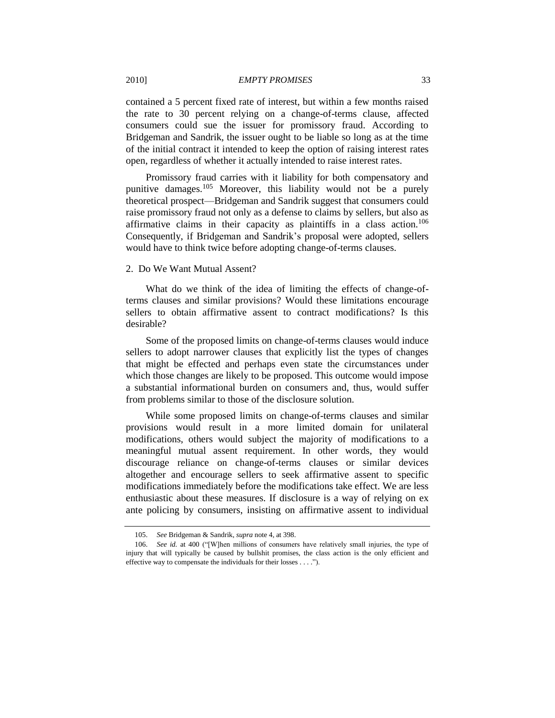contained a 5 percent fixed rate of interest, but within a few months raised the rate to 30 percent relying on a change-of-terms clause, affected consumers could sue the issuer for promissory fraud. According to Bridgeman and Sandrik, the issuer ought to be liable so long as at the time of the initial contract it intended to keep the option of raising interest rates open, regardless of whether it actually intended to raise interest rates.

Promissory fraud carries with it liability for both compensatory and punitive damages.<sup>105</sup> Moreover, this liability would not be a purely theoretical prospect—Bridgeman and Sandrik suggest that consumers could raise promissory fraud not only as a defense to claims by sellers, but also as affirmative claims in their capacity as plaintiffs in a class action.<sup>106</sup> Consequently, if Bridgeman and Sandrik's proposal were adopted, sellers would have to think twice before adopting change-of-terms clauses.

## <span id="page-32-1"></span><span id="page-32-0"></span>2. Do We Want Mutual Assent?

What do we think of the idea of limiting the effects of change-ofterms clauses and similar provisions? Would these limitations encourage sellers to obtain affirmative assent to contract modifications? Is this desirable?

Some of the proposed limits on change-of-terms clauses would induce sellers to adopt narrower clauses that explicitly list the types of changes that might be effected and perhaps even state the circumstances under which those changes are likely to be proposed. This outcome would impose a substantial informational burden on consumers and, thus, would suffer from problems similar to those of the disclosure solution.

While some proposed limits on change-of-terms clauses and similar provisions would result in a more limited domain for unilateral modifications, others would subject the majority of modifications to a meaningful mutual assent requirement. In other words, they would discourage reliance on change-of-terms clauses or similar devices altogether and encourage sellers to seek affirmative assent to specific modifications immediately before the modifications take effect. We are less enthusiastic about these measures. If disclosure is a way of relying on ex ante policing by consumers, insisting on affirmative assent to individual

<sup>105.</sup> *See* Bridgeman & Sandrik, *supra* note [4,](#page-2-0) at 398.

<sup>106.</sup> *See id.* at 400 ("[W]hen millions of consumers have relatively small injuries, the type of injury that will typically be caused by bullshit promises, the class action is the only efficient and effective way to compensate the individuals for their losses . . . .").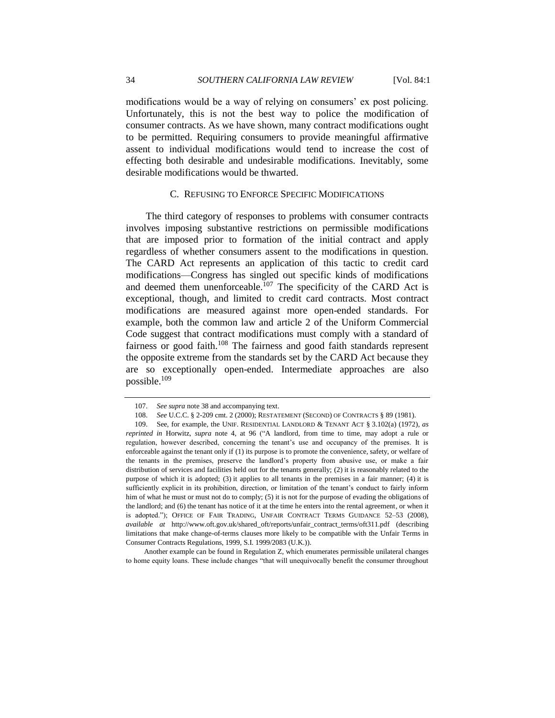modifications would be a way of relying on consumers' ex post policing. Unfortunately, this is not the best way to police the modification of consumer contracts. As we have shown, many contract modifications ought to be permitted. Requiring consumers to provide meaningful affirmative assent to individual modifications would tend to increase the cost of effecting both desirable and undesirable modifications. Inevitably, some desirable modifications would be thwarted.

#### C. REFUSING TO ENFORCE SPECIFIC MODIFICATIONS

<span id="page-33-0"></span>The third category of responses to problems with consumer contracts involves imposing substantive restrictions on permissible modifications that are imposed prior to formation of the initial contract and apply regardless of whether consumers assent to the modifications in question. The CARD Act represents an application of this tactic to credit card modifications—Congress has singled out specific kinds of modifications and deemed them unenforceable.<sup>107</sup> The specificity of the CARD Act is exceptional, though, and limited to credit card contracts. Most contract modifications are measured against more open-ended standards. For example, both the common law and article 2 of the Uniform Commercial Code suggest that contract modifications must comply with a standard of fairness or good faith.<sup>108</sup> The fairness and good faith standards represent the opposite extreme from the standards set by the CARD Act because they are so exceptionally open-ended. Intermediate approaches are also possible.<sup>109</sup>

<span id="page-33-2"></span><span id="page-33-1"></span><sup>107.</sup> *See supra* not[e 38](#page-11-1) and accompanying text.

<sup>108.</sup> *See* U.C.C. § 2-209 cmt. 2 (2000); RESTATEMENT (SECOND) OF CONTRACTS § 89 (1981).

<sup>109.</sup> See, for example, the UNIF. RESIDENTIAL LANDLORD & TENANT ACT § 3.102(a) (1972), *as reprinted in* Horwitz, *supra* note [4,](#page-2-0) at 96 ("A landlord, from time to time, may adopt a rule or regulation, however described, concerning the tenant's use and occupancy of the premises. It is enforceable against the tenant only if (1) its purpose is to promote the convenience, safety, or welfare of the tenants in the premises, preserve the landlord's property from abusive use, or make a fair distribution of services and facilities held out for the tenants generally; (2) it is reasonably related to the purpose of which it is adopted; (3) it applies to all tenants in the premises in a fair manner; (4) it is sufficiently explicit in its prohibition, direction, or limitation of the tenant's conduct to fairly inform him of what he must or must not do to comply; (5) it is not for the purpose of evading the obligations of the landlord; and (6) the tenant has notice of it at the time he enters into the rental agreement, or when it is adopted.‖); OFFICE OF FAIR TRADING, UNFAIR CONTRACT TERMS GUIDANCE 52–53 (2008), *available at* http://www.oft.gov.uk/shared\_oft/reports/unfair\_contract\_terms/oft311.pdf (describing limitations that make change-of-terms clauses more likely to be compatible with the Unfair Terms in Consumer Contracts Regulations, 1999, S.I. 1999/2083 (U.K.)).

Another example can be found in Regulation Z, which enumerates permissible unilateral changes to home equity loans. These include changes "that will unequivocally benefit the consumer throughout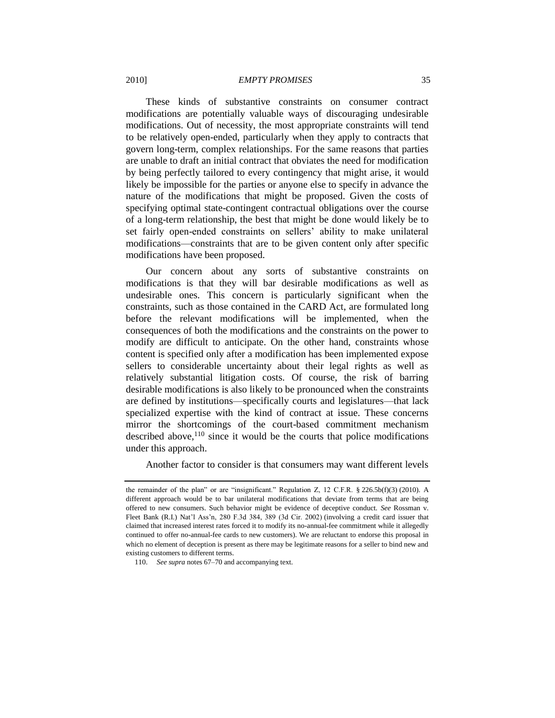These kinds of substantive constraints on consumer contract modifications are potentially valuable ways of discouraging undesirable modifications. Out of necessity, the most appropriate constraints will tend to be relatively open-ended, particularly when they apply to contracts that govern long-term, complex relationships. For the same reasons that parties are unable to draft an initial contract that obviates the need for modification by being perfectly tailored to every contingency that might arise, it would likely be impossible for the parties or anyone else to specify in advance the nature of the modifications that might be proposed. Given the costs of specifying optimal state-contingent contractual obligations over the course of a long-term relationship, the best that might be done would likely be to set fairly open-ended constraints on sellers' ability to make unilateral modifications—constraints that are to be given content only after specific modifications have been proposed.

Our concern about any sorts of substantive constraints on modifications is that they will bar desirable modifications as well as undesirable ones. This concern is particularly significant when the constraints, such as those contained in the CARD Act, are formulated long before the relevant modifications will be implemented, when the consequences of both the modifications and the constraints on the power to modify are difficult to anticipate. On the other hand, constraints whose content is specified only after a modification has been implemented expose sellers to considerable uncertainty about their legal rights as well as relatively substantial litigation costs. Of course, the risk of barring desirable modifications is also likely to be pronounced when the constraints are defined by institutions—specifically courts and legislatures—that lack specialized expertise with the kind of contract at issue. These concerns mirror the shortcomings of the court-based commitment mechanism described above,  $110$  since it would be the courts that police modifications under this approach.

Another factor to consider is that consumers may want different levels

the remainder of the plan" or are "insignificant." Regulation Z, 12 C.F.R.  $$226.5b(f)(3)$  (2010). A different approach would be to bar unilateral modifications that deviate from terms that are being offered to new consumers. Such behavior might be evidence of deceptive conduct. *See* Rossman v. Fleet Bank (R.I.) Nat'l Ass'n, 280 F.3d 384, 389 (3d Cir. 2002) (involving a credit card issuer that claimed that increased interest rates forced it to modify its no-annual-fee commitment while it allegedly continued to offer no-annual-fee cards to new customers). We are reluctant to endorse this proposal in which no element of deception is present as there may be legitimate reasons for a seller to bind new and existing customers to different terms.

<sup>110.</sup> *See supra* note[s 67](#page-23-0)[–70](#page-24-1) and accompanying text.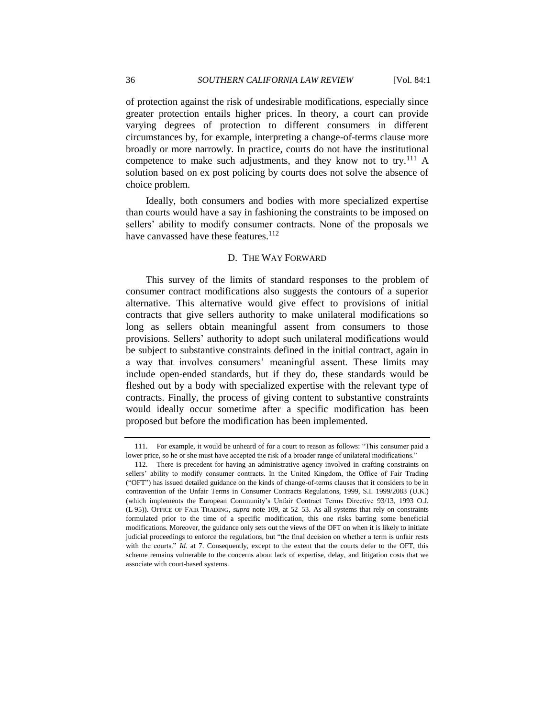of protection against the risk of undesirable modifications, especially since greater protection entails higher prices. In theory, a court can provide varying degrees of protection to different consumers in different circumstances by, for example, interpreting a change-of-terms clause more broadly or more narrowly. In practice, courts do not have the institutional competence to make such adjustments, and they know not to try.<sup>111</sup> A solution based on ex post policing by courts does not solve the absence of choice problem.

Ideally, both consumers and bodies with more specialized expertise than courts would have a say in fashioning the constraints to be imposed on sellers' ability to modify consumer contracts. None of the proposals we have canvassed have these features. $112$ 

#### D. THE WAY FORWARD

<span id="page-35-0"></span>This survey of the limits of standard responses to the problem of consumer contract modifications also suggests the contours of a superior alternative. This alternative would give effect to provisions of initial contracts that give sellers authority to make unilateral modifications so long as sellers obtain meaningful assent from consumers to those provisions. Sellers' authority to adopt such unilateral modifications would be subject to substantive constraints defined in the initial contract, again in a way that involves consumers' meaningful assent. These limits may include open-ended standards, but if they do, these standards would be fleshed out by a body with specialized expertise with the relevant type of contracts. Finally, the process of giving content to substantive constraints would ideally occur sometime after a specific modification has been proposed but before the modification has been implemented.

<sup>111.</sup> For example, it would be unheard of for a court to reason as follows: "This consumer paid a lower price, so he or she must have accepted the risk of a broader range of unilateral modifications."

<sup>112.</sup> There is precedent for having an administrative agency involved in crafting constraints on sellers' ability to modify consumer contracts. In the United Kingdom, the Office of Fair Trading (―OFT‖) has issued detailed guidance on the kinds of change-of-terms clauses that it considers to be in contravention of the Unfair Terms in Consumer Contracts Regulations, 1999, S.I. 1999/2083 (U.K.) (which implements the European Community's Unfair Contract Terms Directive 93/13, 1993 O.J. (L 95)). OFFICE OF FAIR TRADING, *supra* note [109,](#page-33-2) at 52–53. As all systems that rely on constraints formulated prior to the time of a specific modification, this one risks barring some beneficial modifications. Moreover, the guidance only sets out the views of the OFT on when it is likely to initiate judicial proceedings to enforce the regulations, but "the final decision on whether a term is unfair rests with the courts." *Id.* at 7. Consequently, except to the extent that the courts defer to the OFT, this scheme remains vulnerable to the concerns about lack of expertise, delay, and litigation costs that we associate with court-based systems.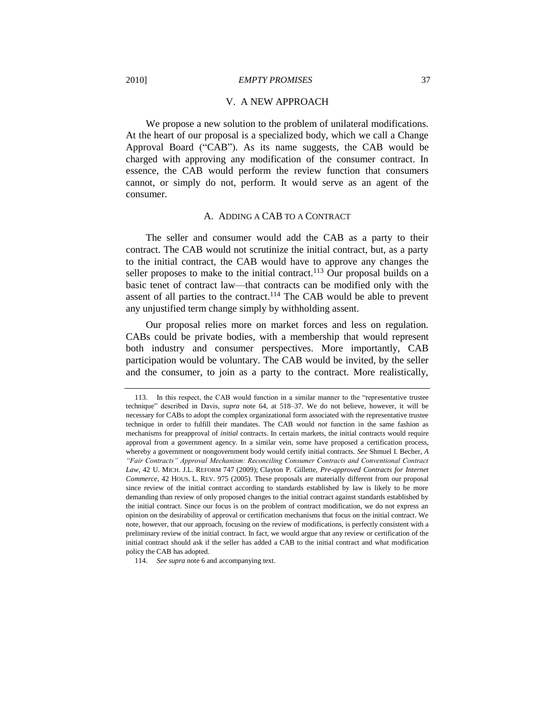#### V. A NEW APPROACH

<span id="page-36-0"></span>We propose a new solution to the problem of unilateral modifications. At the heart of our proposal is a specialized body, which we call a Change Approval Board ("CAB"). As its name suggests, the CAB would be charged with approving any modification of the consumer contract. In essence, the CAB would perform the review function that consumers cannot, or simply do not, perform. It would serve as an agent of the consumer.

#### <span id="page-36-2"></span>A. ADDING A CAB TO A CONTRACT

<span id="page-36-1"></span>The seller and consumer would add the CAB as a party to their contract. The CAB would not scrutinize the initial contract, but, as a party to the initial contract, the CAB would have to approve any changes the seller proposes to make to the initial contract.<sup>113</sup> Our proposal builds on a basic tenet of contract law—that contracts can be modified only with the assent of all parties to the contract.<sup>114</sup> The CAB would be able to prevent any unjustified term change simply by withholding assent.

Our proposal relies more on market forces and less on regulation. CABs could be private bodies, with a membership that would represent both industry and consumer perspectives. More importantly, CAB participation would be voluntary. The CAB would be invited, by the seller and the consumer, to join as a party to the contract. More realistically,

<sup>113.</sup> In this respect, the CAB would function in a similar manner to the "representative trustee" technique" described in Davis, *supra* note [64,](#page-21-2) at 518–37. We do not believe, however, it will be necessary for CABs to adopt the complex organizational form associated with the representative trustee technique in order to fulfill their mandates. The CAB would *not* function in the same fashion as mechanisms for preapproval of *initial* contracts. In certain markets, the initial contracts would require approval from a government agency. In a similar vein, some have proposed a certification process, whereby a government or nongovernment body would certify initial contracts. *See* Shmuel I. Becher, *A "Fair Contracts" Approval Mechanism: Reconciling Consumer Contracts and Conventional Contract Law*, 42 U. MICH. J.L. REFORM 747 (2009); Clayton P. Gillette, *Pre-approved Contracts for Internet Commerce*, 42 HOUS. L. REV. 975 (2005). These proposals are materially different from our proposal since review of the initial contract according to standards established by law is likely to be more demanding than review of only proposed changes to the initial contract against standards established by the initial contract. Since our focus is on the problem of contract modification, we do not express an opinion on the desirability of approval or certification mechanisms that focus on the initial contract. We note, however, that our approach, focusing on the review of modifications, is perfectly consistent with a preliminary review of the initial contract. In fact, we would argue that any review or certification of the initial contract should ask if the seller has added a CAB to the initial contract and what modification policy the CAB has adopted.

<sup>114.</sup> *See supra* not[e 6](#page-3-0) and accompanying text.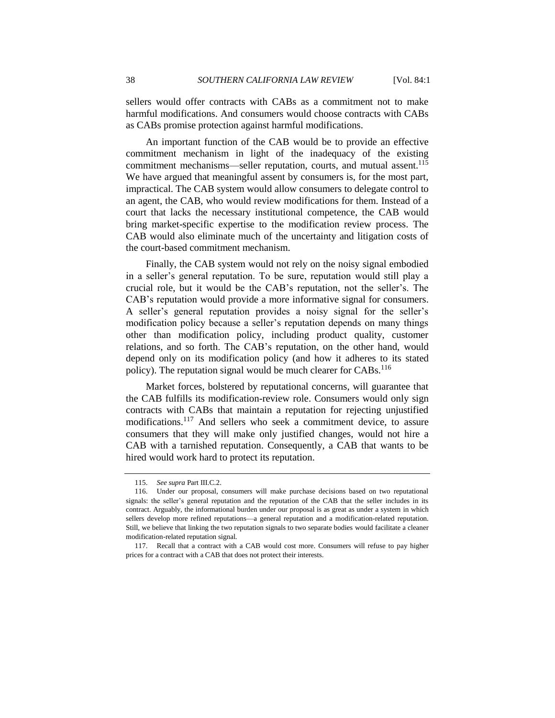sellers would offer contracts with CABs as a commitment not to make harmful modifications. And consumers would choose contracts with CABs as CABs promise protection against harmful modifications.

An important function of the CAB would be to provide an effective commitment mechanism in light of the inadequacy of the existing commitment mechanisms—seller reputation, courts, and mutual assent.<sup>115</sup> We have argued that meaningful assent by consumers is, for the most part, impractical. The CAB system would allow consumers to delegate control to an agent, the CAB, who would review modifications for them. Instead of a court that lacks the necessary institutional competence, the CAB would bring market-specific expertise to the modification review process. The CAB would also eliminate much of the uncertainty and litigation costs of the court-based commitment mechanism.

Finally, the CAB system would not rely on the noisy signal embodied in a seller's general reputation. To be sure, reputation would still play a crucial role, but it would be the CAB's reputation, not the seller's. The CAB's reputation would provide a more informative signal for consumers. A seller's general reputation provides a noisy signal for the seller's modification policy because a seller's reputation depends on many things other than modification policy, including product quality, customer relations, and so forth. The CAB's reputation, on the other hand, would depend only on its modification policy (and how it adheres to its stated policy). The reputation signal would be much clearer for  $CABs$ .<sup>116</sup>

Market forces, bolstered by reputational concerns, will guarantee that the CAB fulfills its modification-review role. Consumers would only sign contracts with CABs that maintain a reputation for rejecting unjustified modifications.<sup>117</sup> And sellers who seek a commitment device, to assure consumers that they will make only justified changes, would not hire a CAB with a tarnished reputation. Consequently, a CAB that wants to be hired would work hard to protect its reputation.

<sup>115.</sup> *See supra* Part III.C.2.

<sup>116.</sup> Under our proposal, consumers will make purchase decisions based on two reputational signals: the seller's general reputation and the reputation of the CAB that the seller includes in its contract. Arguably, the informational burden under our proposal is as great as under a system in which sellers develop more refined reputations—a general reputation and a modification-related reputation. Still, we believe that linking the two reputation signals to two separate bodies would facilitate a cleaner modification-related reputation signal.

<sup>117.</sup> Recall that a contract with a CAB would cost more. Consumers will refuse to pay higher prices for a contract with a CAB that does not protect their interests.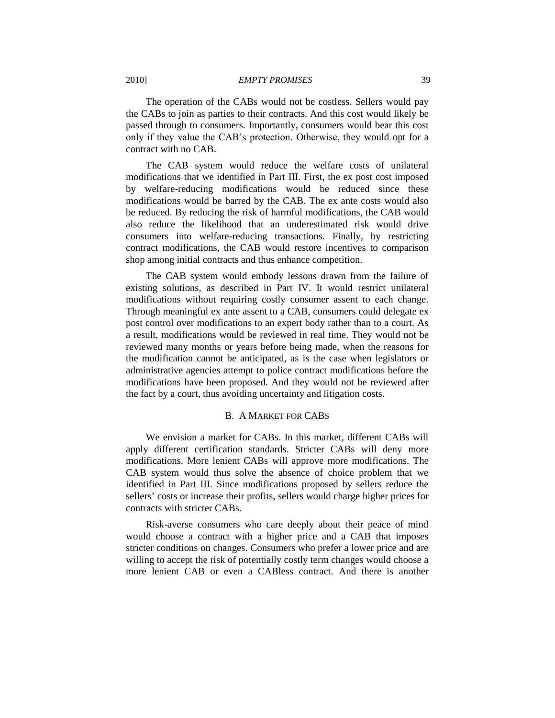The operation of the CABs would not be costless. Sellers would pay the CABs to join as parties to their contracts. And this cost would likely be passed through to consumers. Importantly, consumers would bear this cost only if they value the CAB's protection. Otherwise, they would opt for a contract with no CAB.

The CAB system would reduce the welfare costs of unilateral modifications that we identified in Part III. First, the ex post cost imposed by welfare-reducing modifications would be reduced since these modifications would be barred by the CAB. The ex ante costs would also be reduced. By reducing the risk of harmful modifications, the CAB would also reduce the likelihood that an underestimated risk would drive consumers into welfare-reducing transactions. Finally, by restricting contract modifications, the CAB would restore incentives to comparison shop among initial contracts and thus enhance competition.

The CAB system would embody lessons drawn from the failure of existing solutions, as described in Part IV. It would restrict unilateral modifications without requiring costly consumer assent to each change. Through meaningful ex ante assent to a CAB, consumers could delegate ex post control over modifications to an expert body rather than to a court. As a result, modifications would be reviewed in real time. They would not be reviewed many months or years before being made, when the reasons for the modification cannot be anticipated, as is the case when legislators or administrative agencies attempt to police contract modifications before the modifications have been proposed. And they would not be reviewed after the fact by a court, thus avoiding uncertainty and litigation costs.

## B. A MARKET FOR CABS

<span id="page-38-0"></span>We envision a market for CABs. In this market, different CABs will apply different certification standards. Stricter CABs will deny more modifications. More lenient CABs will approve more modifications. The CAB system would thus solve the absence of choice problem that we identified in Part III. Since modifications proposed by sellers reduce the sellers' costs or increase their profits, sellers would charge higher prices for contracts with stricter CABs.

Risk-averse consumers who care deeply about their peace of mind would choose a contract with a higher price and a CAB that imposes stricter conditions on changes. Consumers who prefer a lower price and are willing to accept the risk of potentially costly term changes would choose a more lenient CAB or even a CABless contract. And there is another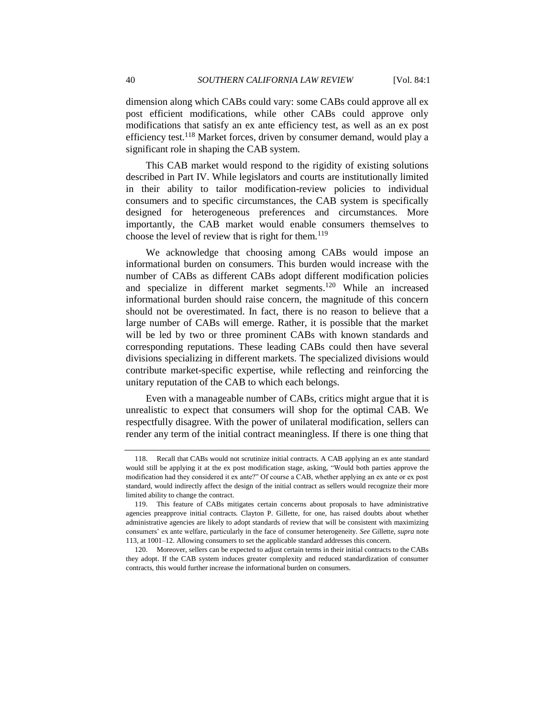dimension along which CABs could vary: some CABs could approve all ex post efficient modifications, while other CABs could approve only modifications that satisfy an ex ante efficiency test, as well as an ex post efficiency test.<sup>118</sup> Market forces, driven by consumer demand, would play a significant role in shaping the CAB system.

This CAB market would respond to the rigidity of existing solutions described in Part IV. While legislators and courts are institutionally limited in their ability to tailor modification-review policies to individual consumers and to specific circumstances, the CAB system is specifically designed for heterogeneous preferences and circumstances. More importantly, the CAB market would enable consumers themselves to choose the level of review that is right for them.<sup>119</sup>

We acknowledge that choosing among CABs would impose an informational burden on consumers. This burden would increase with the number of CABs as different CABs adopt different modification policies and specialize in different market segments.<sup>120</sup> While an increased informational burden should raise concern, the magnitude of this concern should not be overestimated. In fact, there is no reason to believe that a large number of CABs will emerge. Rather, it is possible that the market will be led by two or three prominent CABs with known standards and corresponding reputations. These leading CABs could then have several divisions specializing in different markets. The specialized divisions would contribute market-specific expertise, while reflecting and reinforcing the unitary reputation of the CAB to which each belongs.

Even with a manageable number of CABs, critics might argue that it is unrealistic to expect that consumers will shop for the optimal CAB. We respectfully disagree. With the power of unilateral modification, sellers can render any term of the initial contract meaningless. If there is one thing that

<sup>118.</sup> Recall that CABs would not scrutinize initial contracts. A CAB applying an ex ante standard would still be applying it at the ex post modification stage, asking, "Would both parties approve the modification had they considered it ex ante?" Of course a CAB, whether applying an ex ante or ex post standard, would indirectly affect the design of the initial contract as sellers would recognize their more limited ability to change the contract.

<sup>119.</sup> This feature of CABs mitigates certain concerns about proposals to have administrative agencies preapprove initial contracts. Clayton P. Gillette, for one, has raised doubts about whether administrative agencies are likely to adopt standards of review that will be consistent with maximizing consumers' ex ante welfare, particularly in the face of consumer heterogeneity. *See* Gillette, *supra* note [113,](#page-36-2) at 1001–12. Allowing consumers to set the applicable standard addresses this concern.

<sup>120.</sup> Moreover, sellers can be expected to adjust certain terms in their initial contracts to the CABs they adopt. If the CAB system induces greater complexity and reduced standardization of consumer contracts, this would further increase the informational burden on consumers.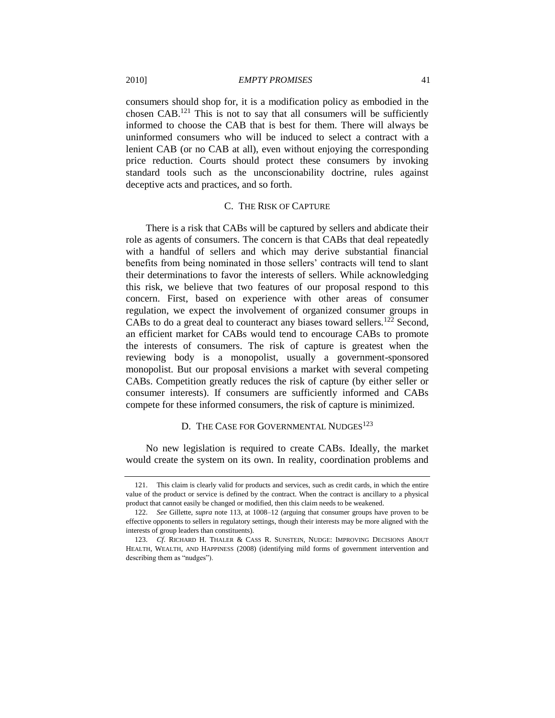consumers should shop for, it is a modification policy as embodied in the chosen CAB.<sup>121</sup> This is not to say that all consumers will be sufficiently informed to choose the CAB that is best for them. There will always be uninformed consumers who will be induced to select a contract with a lenient CAB (or no CAB at all), even without enjoying the corresponding price reduction. Courts should protect these consumers by invoking standard tools such as the unconscionability doctrine, rules against deceptive acts and practices, and so forth.

## C. THE RISK OF CAPTURE

<span id="page-40-0"></span>There is a risk that CABs will be captured by sellers and abdicate their role as agents of consumers. The concern is that CABs that deal repeatedly with a handful of sellers and which may derive substantial financial benefits from being nominated in those sellers' contracts will tend to slant their determinations to favor the interests of sellers. While acknowledging this risk, we believe that two features of our proposal respond to this concern. First, based on experience with other areas of consumer regulation, we expect the involvement of organized consumer groups in CABs to do a great deal to counteract any biases toward sellers.<sup>122</sup> Second, an efficient market for CABs would tend to encourage CABs to promote the interests of consumers. The risk of capture is greatest when the reviewing body is a monopolist, usually a government-sponsored monopolist. But our proposal envisions a market with several competing CABs. Competition greatly reduces the risk of capture (by either seller or consumer interests). If consumers are sufficiently informed and CABs compete for these informed consumers, the risk of capture is minimized.

## D. THE CASE FOR GOVERNMENTAL NUDGES<sup>123</sup>

<span id="page-40-1"></span>No new legislation is required to create CABs. Ideally, the market would create the system on its own. In reality, coordination problems and

<sup>121.</sup> This claim is clearly valid for products and services, such as credit cards, in which the entire value of the product or service is defined by the contract. When the contract is ancillary to a physical product that cannot easily be changed or modified, then this claim needs to be weakened.

<sup>122.</sup> *See* Gillette, *supra* note [113,](#page-36-2) at 1008–12 (arguing that consumer groups have proven to be effective opponents to sellers in regulatory settings, though their interests may be more aligned with the interests of group leaders than constituents).

<sup>123.</sup> *Cf*. RICHARD H. THALER & CASS R. SUNSTEIN, NUDGE: IMPROVING DECISIONS ABOUT HEALTH, WEALTH, AND HAPPINESS (2008) (identifying mild forms of government intervention and describing them as "nudges").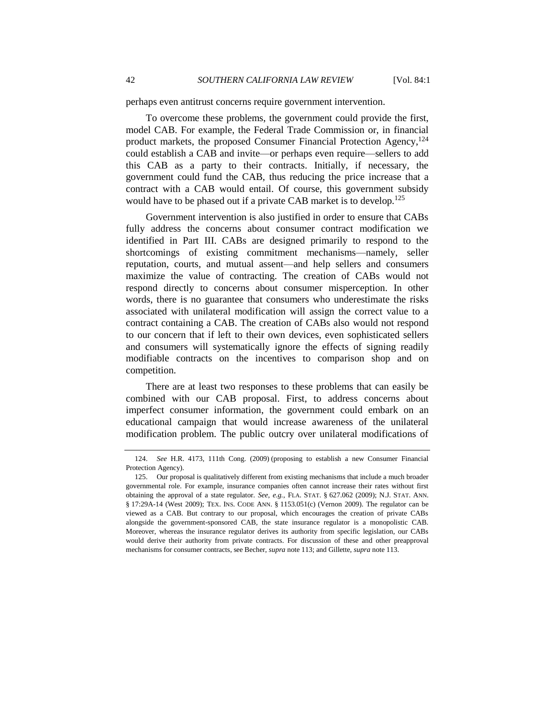perhaps even antitrust concerns require government intervention.

To overcome these problems, the government could provide the first, model CAB. For example, the Federal Trade Commission or, in financial product markets, the proposed Consumer Financial Protection Agency,<sup>124</sup> could establish a CAB and invite—or perhaps even require—sellers to add this CAB as a party to their contracts. Initially, if necessary, the government could fund the CAB, thus reducing the price increase that a contract with a CAB would entail. Of course, this government subsidy would have to be phased out if a private CAB market is to develop.<sup>125</sup>

Government intervention is also justified in order to ensure that CABs fully address the concerns about consumer contract modification we identified in Part III. CABs are designed primarily to respond to the shortcomings of existing commitment mechanisms—namely, seller reputation, courts, and mutual assent—and help sellers and consumers maximize the value of contracting. The creation of CABs would not respond directly to concerns about consumer misperception. In other words, there is no guarantee that consumers who underestimate the risks associated with unilateral modification will assign the correct value to a contract containing a CAB. The creation of CABs also would not respond to our concern that if left to their own devices, even sophisticated sellers and consumers will systematically ignore the effects of signing readily modifiable contracts on the incentives to comparison shop and on competition.

There are at least two responses to these problems that can easily be combined with our CAB proposal. First, to address concerns about imperfect consumer information, the government could embark on an educational campaign that would increase awareness of the unilateral modification problem. The public outcry over unilateral modifications of

<sup>124.</sup> *See* H.R. 4173, 111th Cong. (2009) (proposing to establish a new Consumer Financial Protection Agency).

<sup>125.</sup> Our proposal is qualitatively different from existing mechanisms that include a much broader governmental role. For example, insurance companies often cannot increase their rates without first obtaining the approval of a state regulator. *See, e.g.*, FLA. STAT. § 627.062 (2009); N.J. STAT. ANN. § 17:29A-14 (West 2009); TEX. INS. CODE ANN. § 1153.051(c) (Vernon 2009). The regulator can be viewed as a CAB. But contrary to our proposal, which encourages the creation of private CABs alongside the government-sponsored CAB, the state insurance regulator is a monopolistic CAB. Moreover, whereas the insurance regulator derives its authority from specific legislation, our CABs would derive their authority from private contracts. For discussion of these and other preapproval mechanisms for consumer contracts, see Becher, *supra* note [113;](#page-36-2) and Gillette, *supra* not[e 113.](#page-36-2)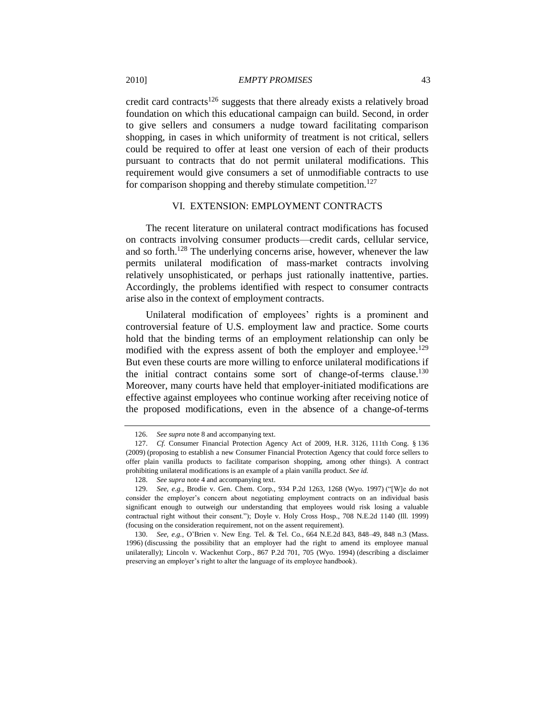credit card contracts<sup>126</sup> suggests that there already exists a relatively broad foundation on which this educational campaign can build. Second, in order to give sellers and consumers a nudge toward facilitating comparison shopping, in cases in which uniformity of treatment is not critical, sellers could be required to offer at least one version of each of their products pursuant to contracts that do not permit unilateral modifications. This requirement would give consumers a set of unmodifiable contracts to use for comparison shopping and thereby stimulate competition.<sup>127</sup>

## VI. EXTENSION: EMPLOYMENT CONTRACTS

<span id="page-42-0"></span>The recent literature on unilateral contract modifications has focused on contracts involving consumer products—credit cards, cellular service, and so forth.<sup>128</sup> The underlying concerns arise, however, whenever the law permits unilateral modification of mass-market contracts involving relatively unsophisticated, or perhaps just rationally inattentive, parties. Accordingly, the problems identified with respect to consumer contracts arise also in the context of employment contracts.

Unilateral modification of employees' rights is a prominent and controversial feature of U.S. employment law and practice. Some courts hold that the binding terms of an employment relationship can only be modified with the express assent of both the employer and employee.<sup>129</sup> But even these courts are more willing to enforce unilateral modifications if the initial contract contains some sort of change-of-terms clause.<sup>130</sup> Moreover, many courts have held that employer-initiated modifications are effective against employees who continue working after receiving notice of the proposed modifications, even in the absence of a change-of-terms

<sup>126.</sup> *See supra* not[e 8](#page-4-0) and accompanying text.

<sup>127.</sup> *Cf.* Consumer Financial Protection Agency Act of 2009, H.R. 3126, 111th Cong. § 136 (2009) (proposing to establish a new Consumer Financial Protection Agency that could force sellers to offer plain vanilla products to facilitate comparison shopping, among other things). A contract prohibiting unilateral modifications is an example of a plain vanilla product. *See id.*

<sup>128.</sup> *See supra* not[e 4](#page-2-0) and accompanying text.

<sup>129.</sup> *See, e.g.*, Brodie v. Gen. Chem. Corp., 934 P.2d 1263, 1268 (Wyo. 1997) ("[W]e do not consider the employer's concern about negotiating employment contracts on an individual basis significant enough to outweigh our understanding that employees would risk losing a valuable contractual right without their consent."); Doyle v. Holy Cross Hosp., 708 N.E.2d 1140 (Ill. 1999) (focusing on the consideration requirement, not on the assent requirement).

<sup>130.</sup> *See, e.g.*, O'Brien v. New Eng. Tel. & Tel. Co., 664 N.E.2d 843, 848–49, 848 n.3 (Mass. 1996) (discussing the possibility that an employer had the right to amend its employee manual unilaterally); Lincoln v. Wackenhut [Corp., 867 P.2d 701, 705 \(Wyo. 1994\)](https://web2.westlaw.com/find/default.wl?tf=-1&serialnum=1994032980&rs=WLW9.08&referencepositiontype=S&ifm=NotSet&fn=_top&sv=Split&referenceposition=705&pbc=BFC25B45&tc=-1&ordoc=1997077981&findtype=Y&db=661&vr=2.0&rp=%2ffind%2fdefault.wl&mt=51) (describing a disclaimer preserving an employer's right to alter the language of its employee handbook).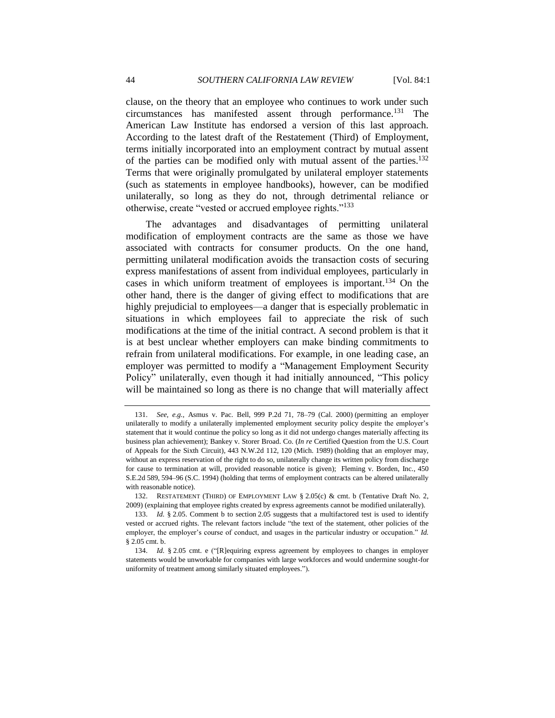clause, on the theory that an employee who continues to work under such circumstances has manifested assent through performance.<sup>131</sup> The American Law Institute has endorsed a version of this last approach. According to the latest draft of the Restatement (Third) of Employment, terms initially incorporated into an employment contract by mutual assent of the parties can be modified only with mutual assent of the parties.<sup>132</sup> Terms that were originally promulgated by unilateral employer statements (such as statements in employee handbooks), however, can be modified unilaterally, so long as they do not, through detrimental reliance or otherwise, create "vested or accrued employee rights."<sup>133</sup>

The advantages and disadvantages of permitting unilateral modification of employment contracts are the same as those we have associated with contracts for consumer products. On the one hand, permitting unilateral modification avoids the transaction costs of securing express manifestations of assent from individual employees, particularly in cases in which uniform treatment of employees is important.<sup>134</sup> On the other hand, there is the danger of giving effect to modifications that are highly prejudicial to employees—a danger that is especially problematic in situations in which employees fail to appreciate the risk of such modifications at the time of the initial contract. A second problem is that it is at best unclear whether employers can make binding commitments to refrain from unilateral modifications. For example, in one leading case, an employer was permitted to modify a "Management Employment Security Policy" unilaterally, even though it had initially announced, "This policy will be maintained so long as there is no change that will materially affect

<sup>131.</sup> *See, e.g.*, Asmus v. Pac. Bell, 999 P.2d 71, 78–79 (Cal. 2000) (permitting an employer unilaterally to modify a unilaterally implemented employment security policy despite the employer's statement that it would continue the policy so long as it did not undergo changes materially affecting its business plan achievement); Bankey v. Storer Broad. Co. (*In re* Certified Question from the U.S. Court of Appeals for the Sixth Circuit), 443 N.W.2d 112, 120 (Mich. 1989) (holding that an employer may, without an express reservation of the right to do so, unilaterally change its written policy from discharge for cause to termination at will, provided reasonable notice is given); [Fleming v. Borden, Inc.,](https://web2.westlaw.com/find/default.wl?vc=0&ordoc=1999128470&rp=%2ffind%2fdefault.wl&DB=711&SerialNum=1994215227&FindType=Y&ReferencePositionType=S&ReferencePosition=595&AP=&fn=_top&rs=WLW9.08&pbc=CE7F3ABF&ifm=NotSet&mt=51&vr=2.0&sv=Split) 450 S.E.2d 589, [594–96](https://web2.westlaw.com/find/default.wl?vc=0&ordoc=1999128470&rp=%2ffind%2fdefault.wl&DB=711&SerialNum=1994215227&FindType=Y&ReferencePositionType=S&ReferencePosition=595&AP=&fn=_top&rs=WLW9.08&pbc=CE7F3ABF&ifm=NotSet&mt=51&vr=2.0&sv=Split) (S.C. 1994) (holding that terms of employment contracts can be altered unilaterally with reasonable notice).

<sup>132.</sup> RESTATEMENT (THIRD) OF EMPLOYMENT LAW § 2.05(c) & cmt. b (Tentative Draft No. 2, 2009) (explaining that employee rights created by express agreements cannot be modified unilaterally).

<sup>133.</sup> *Id.* § 2.05. Comment b to section 2.05 suggests that a multifactored test is used to identify vested or accrued rights. The relevant factors include "the text of the statement, other policies of the employer, the employer's course of conduct, and usages in the particular industry or occupation." Id. § 2.05 cmt. b.

<sup>134.</sup> *Id.* § 2.05 cmt. e ("[R]equiring express agreement by employees to changes in employer statements would be unworkable for companies with large workforces and would undermine sought-for uniformity of treatment among similarly situated employees.").